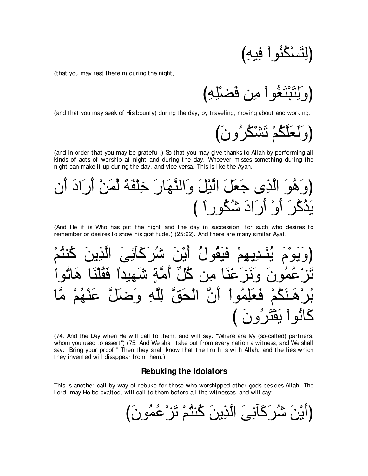(that you may rest therein) during the night,

(and that you may seek of His bounty) during the day, by traveling, moving about and working.

(and in order that you may be grateful.) So that you may give thanks to Allah by performing all kinds of acts of worship at night and during the day. Whoever misses something during the night can make it up during the day, and vice versa. This is like the Ayah,

(And He it is Who has put the night and the day in succession, for such who desires to remember or desires to show his gratitude.) (25:62). And there are many similar Ayat.

(74. And the Day when He will call to them, and will say: "Where are My (so-called) partners, whom you used to assert") (75. And We shall take out from every nation a witness, and We shall say: "Bring your proof." Then they shall know that the truth is with Allah, and the lies which they invented will disappear from them.)

#### **Rebuking the Idolators**

This is another call by way of rebuke for those who worshipped other gods besides Allah. The Lord, may He be exalted, will call to them before all the witnesses, and will say: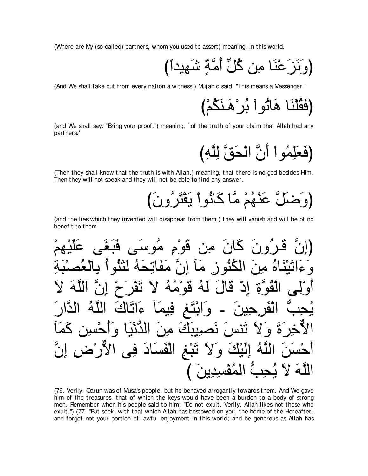(Where are My (so-called) partners, whom you used to assert) meaning, in this world.

(And We shall take out from every nation a witness,) Mujahid said, "This means a Messenger."

(and We shall say: "Bring your proof.") meaning, `of the truth of your claim that Allah had any partners.'

(فَعَلِمُو أَ أَنَّ الْحَقِّ لِلَّهِ)

(Then they shall know that the truth is with Allah,) meaning, that there is no god besides Him. Then they will not speak and they will not be able to find any answer.

(وَضَلَّ عَنْهُمْ مَّا كَانُواْ يَقْتَرُونَ)

(and the lies which they invented will disappear from them.) they will vanish and will be of no benefit to them.

ُنَ مِن قَوْمٍ مُوسَى اتْبَنَّاهُ مِنَ الْكُنُونَ مَا انَّ مَفَات ق َه لمُ نَصِيبِكَ مِن ه ا فنسب الفساد في نبع مِبُّ الْمُقْسِدِينَ )

(76. Verily, Carun was of Musa's people, but he behaved arrogantly towards them. And We gave him of the treasures, that of which the keys would have been a burden to a body of strong men. Remember when his people said to him: "Do not exult. Verily, Allah likes not those who exult.") (77. "But seek, with that which Allah has bestowed on you, the home of the Hereafter, and forget not your portion of lawful enjoyment in this world; and be generous as Allah has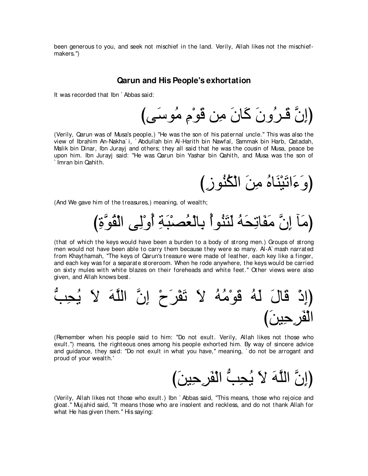been generous to you, and seek not mischief in the land. Verily, Allah likes not the mischiefmakers.'')

#### **Qarun and His People's exhortation**

It was recorded that Ibn ` Abbas said:

(إِنَّ قَـرٍ ُونَ كَانَ مِن قَوْمٍ مُوسَى)

(Verily, Qarun was of Musa's people,) "He was the son of his paternal uncle.'' This was also the view of Ibrahim An-Nakha` i, ` Abdullah bin Al-Harith bin Nawfal, Sammak bin Harb, Qatadah, Malik bin Dinar, Ibn Jurayj and others; they all said that he was the cousin of Musa, peace be upon him. Ibn Jurayj said: "He was Qarun bin Yashar bin Qahith, and Musa was the son of ` Imran bin Qahith.

(وَعَانَيْنَاهُ مِنَ الْكُنُوزِ *)* 

(And We gave him of the treasures,) meaning, of wealth;

(مَاۤ إِنَّ مَفَاتِحَهُ لَتَنُو الْعُصْبَةِ أُوْلِي الْقُوَّةِ)

(that of which the keys would have been a burden to a body of strong men.) Groups of strong men would not have been able to carry them because they were so many. Al-A` mash narrated from Khaythamah, "The keys of Qarun's treasure were made of leather, each key like a finger, and each key was for a separate storeroom. When he rode anywhere, the keys would be carried on sixty mules with white blazes on their foreheads and white feet.'' Other views were also given, and Allah knows best.

لهُ قَوْمُهُ لاَ تَقْرَحْ إِنَّ اللَّهَ لاَ يُ الْفَرِ حِينَ)

(Remember when his people said to him: "Do not exult. Verily, Allah likes not those who exult.'') means, the righteous ones among his people exhorted him. By way of sincere advice and guidance, they said: "Do not exult in what you have,'' meaning, ` do not be arrogant and proud of your wealth.'

(إِنَّ اللَّهَ لاَ يُحِبُّ الْفَرِ حِينَ)

(Verily, Allah likes not those who exult.) Ibn ` Abbas said, "This means, those who rejoice and gloat.'' Muj ahid said, "It means those who are insolent and reckless, and do not thank Allah for what He has given them." His saying: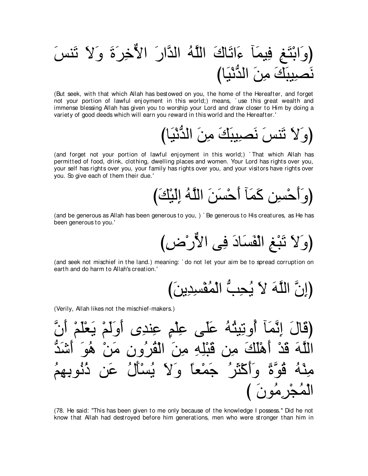(But seek, with that which Allah has bestowed on you, the home of the Hereafter, and forget not your portion of lawful enjoyment in this world;) means, 'use this great wealth and immense blessing Allah has given you to worship your Lord and draw closer to Him by doing a variety of good deeds which will earn you reward in this world and the Hereafter.'

(and forget not your portion of lawful enjoyment in this world;) `That which Allah has permitted of food, drink, clothing, dwelling places and women. Your Lord has rights over you, your self has rights over you, your family has rights over you, and your visitors have rights over you. So give each of them their due.'

(and be generous as Allah has been generous to you,) `Be generous to His creatures, as He has been generous to you.'

(وَلاَ تَبْغِ الْفَسَادَ فِي الأُّرْضِ)

(and seek not mischief in the land.) meaning: `do not let your aim be to spread corruption on earth and do harm to Allah's creation.'

(Verily, Allah likes not the mischief-makers.)

(قَالَ إِنَّمَاَ أُوِتِيِنُهُ عَلَى عِلَمٍ عِندِى أُوَلَمٌ يَعُلَمٌ أَنَّ
$$
\overline{5}
$$
]فَنَّهُ وَنَّلِهِ مِنَ الَقُرُون مَنٌ هُوَ أَشَدُّةُ $\overline{6}$  وَأكَتَرُ خَمُعاَ وَلَا مِنَ الَقُرُون مَنٌ هُوَ أَشَدُّةُ $\overline{6}$  وَأكَتَرُ خَمُعاَ وَلَا مِنَّا لَّهُنِنَ مَنٌ دُئُوِيَهُمُ

(78. He said: "This has been given to me only because of the knowledge I possess." Did he not know that Allah had destroyed before him generations, men who were stronger than him in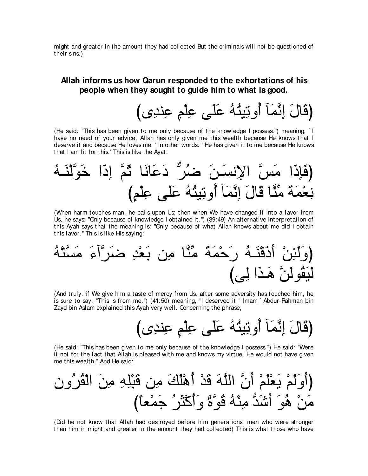might and greater in the amount they had collected But the criminals will not be questioned of their sins.)

# **Allah informs us how Qarun responded to the exhortations of his people when they sought to guide him to what is good.**

びン⌒ギレ⌒ハ ∃ユ∇ヤ⌒ハ ヴ∠ヤ∠ハ ⊥ヮ⊥わΒ⌒ゎヱ⊥ぺ べ∠ヨzル⌒ま ∠メゅ∠ホぴ

(He said: "This has been given to me only because of the knowledge I possess.'') meaning, ` I have no need of your advice; Allah has only given me this wealth because He knows that I deserve it and because He loves me. ' In other words: ` He has given it to me because He knows that I am fit for this.' This is like the Ayat:

⊥ヮ⇒∠レ∇ャzヲ∠カ や∠ク⌒ま zユ⊥を ゅ∠ルゅ∠ハ∠キ xゲ⊥ッ ∠リ⇒∠ジル⌒Ηや zザ∠ョ や∠ク⌒み∠プぴ び∃ユ∇ヤ⌒ハ ヴ∠ヤ∠ハ ⊥ヮ⊥わΒ⌒ゎヱ⊥ぺ べ∠ヨzル⌒ま ∠メゅ∠ホ ゅzレあョ ⇔る∠ヨ∇バ⌒ル

(When harm touches man, he calls upon Us; then when We have changed it into a favor from Us, he says: "Only because of knowledge I obtained it.'') (39:49) An alternative interpretation of this Ayah says that the meaning is: "Only because of what Allah knows about me did I obtain this favor.'' This is like His saying:

⊥ヮ∇わzジ∠ョ ∠¬へzゲ∠ッ ⌒ギ∇バ∠よ リ⌒ョ ゅzレあョ ⇔る∠ヨ∇ェ∠ケ ⊥ヮ⇒∠レ∇ホ∠ク∠ぺ ∇リ⌒ゃ∠ャ∠ヱぴ びヴ⌒ャ や∠グ⇒∠ワ zリ∠ャヲ⊥ボ∠Β∠ャ

(And truly, if We give him a taste of mercy from Us, after some adversity has touched him, he is sure to say: "This is from me.'') (41:50) meaning, "I deserved it.'' Imam ` Abdur-Rahman bin Zayd bin Aslam explained this Ayah very well. Concerning the phrase,

びン⌒ギレ⌒ハ ∃ユ∇ヤ⌒ハ ヴ∠ヤ∠ハ ⊥ヮ⊥わΒ⌒ゎヱ⊥ぺ べ∠ヨzル⌒ま ∠メゅ∠ホぴ

(He said: "This has been given to me only because of the knowledge I possess.'') He said: "Were it not for the fact that Allah is pleased with me and knows my virtue, He would not have given me this wealth.'' And He said:

⌒ラヱ⊥ゲ⊥ボ∇ャや ∠リ⌒ョ ⌒ヮ⌒ヤ∇ら∠ホ リ⌒ョ ∠マ∠ヤ∇ワ∠ぺ ∇ギ∠ホ ∠ヮzヤャや zラ∠ぺ ∇ユ∠ヤ∇バ∠Α ∇ユ∠ャ∠ヱ∠ぺぴ び⇔ゅバ∇ヨ∠ィ ⊥ゲ∠ん∇ミ∠ぺ∠ヱ ⇔りzヲ⊥ホ ⊥ヮ∇レ⌒ョ ぁギ∠セ∠ぺ ∠ヲ⊥ワ ∇リ∠ョ

(Did he not know that Allah had destroyed before him generations, men who were stronger than him in might and greater in the amount they had collected) This is what those who have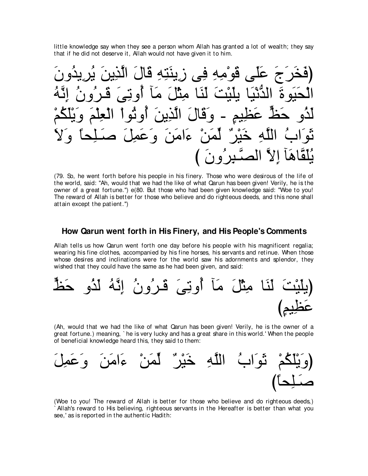little knowledge say when they see a person whom Allah has granted a lot of wealth; they say that if he did not deserve it, Allah would not have given it to him.

∠ラヱ⊥ギΑ⌒ゲ⊥Α ∠リΑ⌒グzャや ∠メゅ∠ホ ⌒ヮ⌒わ∠レΑ⌒コ ヴ⌒プ ⌒ヮ⌒ョ∇ヲ∠ホ ヴ∠ヤ∠ハ ∠ァ∠ゲ∠ガ∠プぴ ⊥ヮzル⌒ま ⊥ラヱ⊥ゲ⇒∠ホ ∠ヴ⌒ゎヱ⊥ぺ べ∠ョ ∠モ∇ん⌒ョ ゅ∠レ∠ャ ∠ろ∇Β∠ヤΑ ゅ∠Β∇ルぁギャや ∠りヲ∠Β∠エ∇ャや ∇ユ⊥ム∠ヤ∇Α∠ヱ ∠ユ∇ヤ⌒バ∇ャや ∇やヲ⊥ゎヱ⊥ぺ ∠リΑ⌒グzャや ∠メゅ∠ホ∠ヱ - ∃ユΒ⌒ヌ∠ハ yナ∠ェ ヱ⊥グ∠ャ ∠Ι∠ヱ ⇔ゅエ⌒ヤ⇒∠タ ∠モ⌒ヨ∠ハ∠ヱ ∠リ∠ョや∠¬ ∇リ∠ヨあャ ∀ゲ∇Β∠カ ⌒ヮzヤャや ⊥ゆや∠ヲ∠を び ∠ラヱ⊥ゲ⌒ら⇒zダャや zΙ⌒ま べ∠ワゅzボ∠ヤ⊥Α

(79. So, he went forth before his people in his finery. Those who were desirous of the life of the world, said: "Ah, would that we had the like of what Qarun has been given! Verily, he is the owner of a great fortune.'') e(80. But those who had been given knowledge said: "Woe to you! The reward of Allah is better for those who believe and do righteous deeds, and this none shall attain except the patient.'')

#### **How Qarun went forth in His Finery, and His People's Comments**

Allah tells us how Qarun went forth one day before his people with his magnificent regalia; wearing his fine clothes, accompanied by his fine horses, his servants and retinue. When those whose desires and inclinations were for the world saw his adornments and splendor, they wished that they could have the same as he had been given, and said:



(Ah, would that we had the like of what Qarun has been given! Verily, he is the owner of a great fortune.) meaning, ` he is very lucky and has a great share in this world.' When the people of beneficial knowledge heard this, they said to them:



(Woe to you! The reward of Allah is better for those who believe and do righteous deeds,) Allah's reward to His believing, righteous servants in the Hereafter is better than what you see,' as is reported in the authentic Hadith: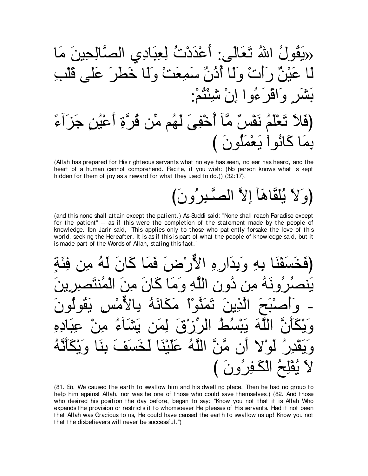(Allah has prepared for His righteous servants what no eye has seen, no ear has heard, and the heart of a human cannot comprehend. Recite, if you wish: (No person knows what is kept hidden for them of joy as a reward for what they used to do.)) (32:17).

# (وَلاَ يُلْقَاهَآ إِلاَّ الْصَّبِرِ ُونَ)

(and this none shall attain except the patient.) As-Suddi said: "None shall reach Paradise except for the patient" -- as if this were the completion of the statement made by the people of knowledge. Ibn Jarir said, "This applies only to those who patiently forsake the love of this world, seeking the Hereafter. It is as if this is part of what the people of knowledge said, but it is made part of the Words of Allah, stating this fact."

وَبِذَارِهِ الأَرْضَنَ فَمَا كَبِ الله و م تمنّه ۠ا  $\mathbf{A}$  $\blacktriangle$ اللّهُ عَلَنْنَا بُقْلِحُ الْكَفِرُونَ )

(81. So, We caused the earth to swallow him and his dwelling place. Then he had no group to help him against Allah, nor was he one of those who could save themselves.) (82. And those who desired his position the day before, began to say: "Know you not that it is Allah Who expands the provision or restricts it to whomsoever He pleases of His servants. Had it not been that Allah was Gracious to us, He could have caused the earth to swallow us up! Know you not that the disbelievers will never be successful.")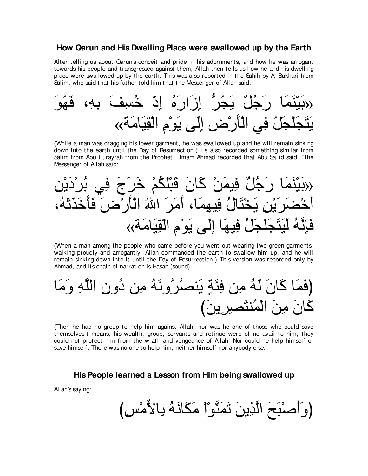#### **How Qarun and His Dwelling Place were swallowed up by the Earth**

After telling us about Qarun's conceit and pride in his adornments, and how he was arrogant towards his people and transgressed against them, Allah then tells us how he and his dwelling place were swallowed up by the earth. This was also reported in the Sahih by Al-Bukhari from Salim, who said that his father told him that the Messenger of Allah said:

∠ヲ⊥ヰ∠プ ∩⌒ヮ⌒よ ∠ブ⌒ジ⊥カ ∇ク⌒ま ⊥ロ∠ケや∠コ⌒ま ぁゲ⊥イ∠Α ∀モ⊥ィ∠ケ ゅ∠ヨ∠レ∇Β∠よ» «る∠ョゅ∠Β⌒ボ∇ャや ⌒ュ∇ヲ∠Α ヴ∠ャ⌒ま ⌒チ∇ケ∠ほ∇ャや ヶ⌒プ ⊥モ∠イ∇ヤ∠イ∠わ∠Α

(While a man was dragging his lower garment, he was swallowed up and he will remain sinking down into the earth until the Day of Resurrection.) He also recorded something similar from Salim from Abu Hurayrah from the Prophet . Imam Ahmad recorded that Abu Sa` id said, "The Messenger of Allah said:

⌒リ∇Α∠キ∇ゲ⊥よ ヶ⌒プ ∠ァ∠ゲ∠カ ∇ユ⊥ム∠ヤ∇ら∠ホ ∠ラゅ∠ミ ∇リ∠ヨΒ⌒プ ∀モ⊥ィ∠ケ ゅ∠ヨ∠レ∇Β∠よ» ∩⊥ヮ∇ゎ∠グ∠カ∠ほ∠プ ∠チ∇ケ∠ほ∇ャや ⊥ぶや ∠ゲ∠ョ∠ぺ ∩ゅ∠ヨ⌒ヰΒ⌒プ ⊥メゅ∠わ∇ガ∠Α ⌒リ∇Α∠ゲ∠ツ∇カ∠ぺ «る∠ョゅ∠Β⌒ボ∇ャや ⌒ュ∇ヲ∠Α ヴ∠ャ⌒ま ゅ∠ヰΒ⌒プ ⊥モ∠イ∇ヤ∠イ∠わ∠Β∠ャ ⊥ヮzル⌒み∠プ

(When a man among the people who came before you went out wearing two green garments, walking proudly and arrogantly, Allah commanded the earth to swallow him up, and he will remain sinking down into it until the Day of Resurrection.) This version was recorded only by Ahmad, and its chain of narration is Hasan (sound).

ゅ∠ョ∠ヱ ⌒ヮzヤャや ⌒ラヱ⊥キ リ⌒ョ ⊥ヮ∠ルヱ⊥ゲ⊥ダレ∠Α ∃る∠ゃ⌒プ リ⌒ョ ⊥ヮ∠ャ ∠ラゅ∠ミ ゅ∠ヨ∠プぴ び∠リΑ⌒ゲ⌒ダ∠わレ⊥ヨ∇ャや ∠リ⌒ョ ∠ラゅ∠ミ

(Then he had no group to help him against Allah, nor was he one of those who could save themselves.) means, his wealth, group, servants and retinue were of no avail to him; they could not protect him from the wrath and vengeance of Allah. Nor could he help himself or save himself. There was no one to help him, neither himself nor anybody else.

**His People learned a Lesson from Him being swallowed up**

Allah's saying:

(وَأَصنْبَحَ الَّذِينَ تَمَنَّوْ ْا مَكَانَـهُ بِالأَّمْسِ)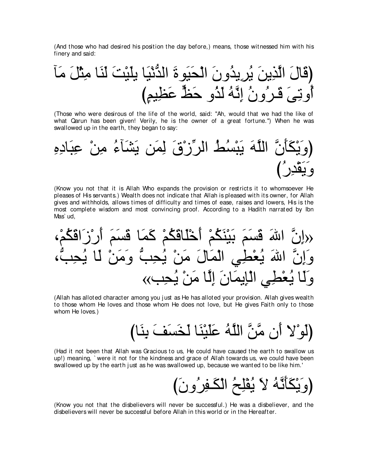(And those who had desired his position the day before,) means, those witnessed him with his finery and said:

べ∠ョ ∠モ∇ん⌒ョ ゅ∠レ∠ャ ∠ろ∇Β∠ヤΑ ゅ∠Β∇ルぁギャや ∠りヲ∠Β∠エ∇ャや ∠ラヱ⊥ギΑ⌒ゲ⊥Α ∠リΑ⌒グzャや ∠メゅ∠ホぴ び∃ユΒ⌒ヌ∠ハ yナ∠ェ ヱ⊥グ∠ャ ⊥ヮzル⌒ま ⊥ラヱ⊥ゲ⇒∠ホ ∠ヴ⌒ゎヱ⊥ぺ

(Those who were desirous of the life of the world, said: "Ah, would that we had the like of what Qarun has been given! Verily, he is the owner of a great fortune.'') When he was swallowed up in the earth, they began to say:



(Know you not that it is Allah Who expands the provision or restricts it to whomsoever He pleases of His servants.) Wealth does not indicate that Allah is pleased with its owner, for Allah gives and withholds, allows times of difficulty and times of ease, raises and lowers, His is the most complete wisdom and most convincing proof. According to a Hadith narrated by Ibn Mas` ud,

∩∇ユ⊥ム∠ホや∠コ∇ケ∠ぺ ∠ユ∠ジ∠ホ ゅ∠ヨ∠ミ ∇ユ⊥ム∠ホゅ∠ヤ∇カ∠ぺ ∇ユ⊥ム∠レ∇Β∠よ ∠ユ∠ジ∠ホ ∠ぶや zラ⌒ま» ∩ぁょ⌒エ⊥Α ゅ∠ャ ∇リ∠ョ∠ヱ ぁょ⌒エ⊥Α ∇リ∠ョ ∠メゅ∠ヨ∇ャや ヶ⌒ト∇バ⊥Α ∠ぶや zラ⌒ま∠ヱ «ょ⌒エ⊥Α ∇リ∠ョ ゅzャ⌒ま ∠ラゅ∠ヨΑ⌒み∇ャや ヶ⌒ト∇バ⊥Α ゅ∠ャ∠ヱ

(Allah has alloted character among you j ust as He has alloted your provision. Allah gives wealth to those whom He loves and those whom He does not love, but He gives Faith only to those whom He loves.)

びゅ∠レ⌒よ ∠ブ∠ジ∠ガ∠ャ ゅ∠レ∇Β∠ヤ∠ハ ⊥ヮzヤャや zリzョ ラ∠ぺ Ι∇ヲ∠ャぴ

(Had it not been that Allah was Gracious to us, He could have caused the earth to swallow us up!) meaning, ` were it not for the kindness and grace of Allah towards us, we could have been swallowed up by the earth just as he was swallowed up, because we wanted to be like him.'

び∠ラヱ⊥ゲ⌒ヘ⇒∠ム∇ャや ⊥ウ⌒ヤ∇ヘ⊥Α ∠Ι ⊥ヮzル∠ほ∠ム∇Α∠ヱぴ

(Know you not that the disbelievers will never be successful.) He was a disbeliever, and the disbelievers will never be successful before Allah in this world or in the Hereafter.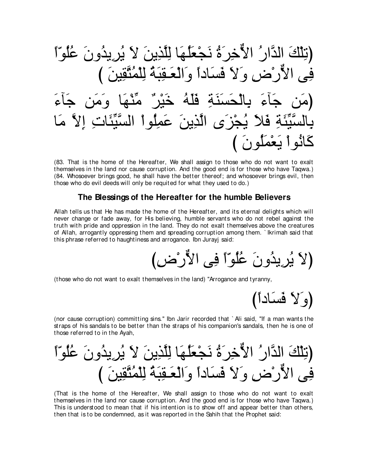⇔や∂ヲ⊥ヤ⊥ハ ∠ラヱ⊥ギΑ⌒ゲ⊥Α ∠Ι ∠リΑ⌒グzヤ⌒ャ ゅ∠ヰ⊥ヤ∠バ∇イ∠ル ⊥り∠ゲ⌒カxΙや ⊥ケやzギャや ∠マ∇ヤ⌒ゎぴ び ∠リΒ⌒ボzわ⊥ヨ∇ヤ⌒ャ ⊥る∠ら⌒ボ⇒∠バ∇ャや∠ヱ ⇔やキゅ∠ジ∠プ ∠Ι∠ヱ ⌒チ∇ケxΙや ヴ⌒プ ∠¬べ∠ィ リ∠ョ∠ヱ ゅ∠ヰ∇レあョ ∀ゲ∇Β∠カ ⊥ヮ∠ヤ∠プ ⌒る∠レ∠ジ∠エ∇ャゅ⌒よ ∠¬べ∠ィ リ∠ョぴ ゅ∠ョ zΙ⌒ま ⌒れゅ∠ゃあΒzジャや ∇やヲ⊥ヤ⌒ヨ∠ハ ∠リΑ⌒グzャや ン∠ゴ∇イ⊥Α ∠Κ∠プ ⌒る∠ゃあΒzジャゅ⌒よ び ∠ラヲ⊥ヤ∠ヨ∇バ∠Α ∇やヲ⊥ルゅ∠ミ

(83. That is the home of the Hereafter, We shall assign to those who do not want to exalt themselves in the land nor cause corruption. And the good end is for those who have Taqwa.) (84. Whosoever brings good, he shall have the better thereof; and whosoever brings evil, then those who do evil deeds will only be requited for what they used to do.)

#### **The Blessings of the Hereafter for the humble Believers**

Allah tells us that He has made the home of the Hereafter, and its eternal delights which will never change or fade away, for His believing, humble servants who do not rebel against the truth with pride and oppression in the land. They do not exalt themselves above the creatures of Allah, arrogantly oppressing them and spreading corruption among them. ` Ikrimah said that this phrase referred to haughtiness and arrogance. Ibn Jurayj said:

び⌒チ∇ケxΙや ヴ⌒プ ⇔や∂ヲ⊥ヤ⊥ハ ∠ラヱ⊥ギΑ⌒ゲ⊥Α ∠Ιぴ

(those who do not want to exalt themselves in the land) "Arrogance and tyranny,

(وَلا فَسَاداً)

(nor cause corruption) committing sins.'' Ibn Jarir recorded that ` Ali said, "If a man wants the straps of his sandals to be better than the straps of his companion's sandals, then he is one of those referred to in the Ayah,

⇔や∂ヲ⊥ヤ⊥ハ ∠ラヱ⊥ギΑ⌒ゲ⊥Α ∠Ι ∠リΑ⌒グzヤ⌒ャ ゅ∠ヰ⊥ヤ∠バ∇イ∠ル ⊥り∠ゲ⌒カxΙや ⊥ケやzギャや ∠マ∇ヤ⌒ゎぴ び ∠リΒ⌒ボzわ⊥ヨ∇ヤ⌒ャ ⊥る∠ら⌒ボ⇒∠バ∇ャや∠ヱ ⇔やキゅ∠ジ∠プ ∠Ι∠ヱ ⌒チ∇ケxΙや ヴ⌒プ

(That is the home of the Hereafter, We shall assign to those who do not want to exalt themselves in the land nor cause corruption. And the good end is for those who have Taqwa.) This is understood to mean that if his intention is to show off and appear better than others, then that is to be condemned, as it was reported in the Sahih that the Prophet said: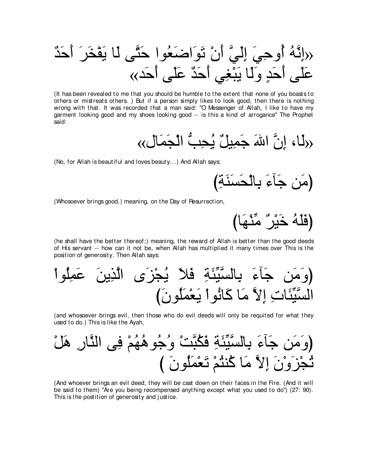(It has been revealed to me that you should be humble to the extent that none of you boasts to others or mistreats others.) But if a person simply likes to look good, then there is nothing wrong with that. It was recorded that a man said: "O Messenger of Allah, I like to have my garment looking good and my shoes looking good -- is this a kind of arrogance" The Prophet said:

(No, for Allah is beautiful and loves beauty...) And Allah says:

(Whosoever brings good,) meaning, on the Day of Resurrection,

(فَلَهُ خَيْرٌ مِّنْهَا)

(he shall have the better thereof;) meaning, the reward of Allah is better than the good deeds of His servant -- how can it not be, when Allah has multiplied it many times over This is the position of generosity. Then Allah says:

(and whosoever brings evil, then those who do evil deeds will only be requited for what they used to do.) This is like the Ayah,

(And whoever brings an evil deed, they will be cast down on their faces in the Fire. (And it will be said to them) "Are you being recompensed anything except what you used to do") (27: 90). This is the postition of generosity and justice.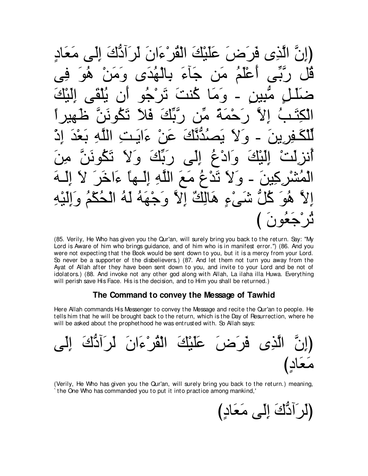عَلَيْكَ الْقُرْ ءَانَ لَرٍ أَدَّكَ إِلَي مَعَادِ الَّذِي فَرِ َضَ أَعْلَمُ مَن جَاءَ بِالْهُدَى وَمَنْ هُو وِ ۆا  $\zeta$  $\bullet$ هَن ديَّكَ  $\mathbf{A}$ NÀ د هو ای ءايت  $\alpha^*$ ر نگف و ا ءُ الي  $\bullet$ نَدْعُ مَعَ اللَّهِ إِلَــها ءَا و لا شَّيْءٍ هَالِكٌ إِلاَّ وَجْهَهُ لَهُ الْحُكْمُ وَ 193

(85. Verily, He Who has given you the Qur'an, will surely bring you back to the return. Say: "My Lord is Aware of him who brings guidance, and of him who is in manifest error.") (86. And you were not expecting that the Book would be sent down to you, but it is a mercy from your Lord. So never be a supporter of the disbelievers.) (87. And let them not turn you away from the Ayat of Allah after they have been sent down to you, and invite to your Lord and be not of idolators.) (88. And invoke not any other god along with Allah, La ilaha illa Huwa. Everything will perish save His Face. His is the decision, and to Him you shall be returned.)

# The Command to convey the Message of Tawhid

Here Allah commands His Messenger to convey the Message and recite the Qur'an to people. He tells him that he will be brought back to the return, which is the Day of Resurrection, where he will be asked about the prophethood he was entrusted with. So Allah says:

عَلَيْكَ الْقُرْءَانَ لَرِ أَدَّكَ الذِي فَرَضَ معاد )

(Verily, He Who has given you the Qur'an, will surely bring you back to the return.) meaning, the One Who has commanded you to put it into practice among mankind,'

(لَرَأَدٌكَ إِلَى مَعَادٍ)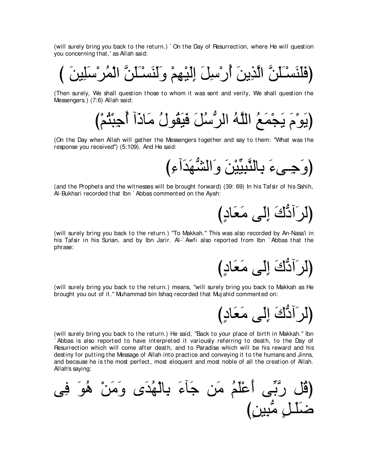(will surely bring you back to the return.) ` On the Day of Resurrection, where He will question you concerning that,' as Allah said:

び ∠リΒ⌒ヤ∠シ∇ゲ⊥ヨ∇ャや zリ∠ヤ∠⇒∇ジ∠レ∠ャ∠ヱ ∇ユ⌒ヰ∇Β∠ャ⌒ま ∠モ⌒シ∇ケ⊥ぺ ∠リΑ⌒グzャや zリ∠ヤ∠⇒∇ジ∠レ∠ヤ∠プぴ

(Then surely, We shall question those to whom it was sent and verily, We shall question the Messengers.) (7:6) Allah said:

び∇ユ⊥わ∇ら⌒ィ⊥ぺ へ∠クゅ∠ョ ⊥メヲ⊥ボ∠Β∠プ ∠モ⊥シぁゲャや ⊥ヮzヤャや ⊥ノ∠ヨ∇イ∠Α ∠ュ∇ヲ∠Αぴ

(On the Day when Allah will gather the Messengers together and say to them: "What was the response you received'') (5:109). And He said:

び⌒¬へ∠ギ∠ヰぁゼャや∠ヱ ∠リ∇ΒあΒ⌒らzレャゅ⌒よ ∠¬ヴ⇒⌒ィ∠ヱぴ

(and the Prophets and the witnesses will be brought forward) (39: 69) In his Tafsir of his Sahih, Al-Bukhari recorded that Ibn ` Abbas commented on the Ayah:

び∃キゅ∠バ∠ョ ヴ∠ャ⌒ま ∠ポぁキへ∠ゲ∠ャぴ

(will surely bring you back to the return.) "To Makkah.'' This was also recorded by An-Nasa'i in his Tafsir in his Sunan, and by Ibn Jarir. Al-` Awfi also reported from Ibn ` Abbas that the phrase:

{لَرَآدٌكَ إِلَى مَعَادٍ)

(will surely bring you back to the return.) means, "will surely bring you back to Makkah as He brought you out of it.'' Muhammad bin Ishaq recorded that Muj ahid commented on:

び∃キゅ∠バ∠ョ ヴ∠ャ⌒ま ∠ポぁキへ∠ゲ∠ャぴ

(will surely bring you back to the return.) He said, "Back to your place of birth in Makkah.'' Ibn ` Abbas is also reported to have interpreted it variously referring to death, to the Day of Resurrection which will come after death, and to Paradise which will be his reward and his destiny for putting the Message of Allah into practice and conveying it to the humans and Jinns, and because he is the most perfect, most eloquent and most noble of all the creation of Allah. Allah's saying:

ヴ⌒プ ∠ヲ⊥ワ ∇リ∠ョ∠ヱ ン∠ギ⊥ヰ∇ャゅ⌒よ ∠¬べ∠ィ リ∠ョ ⊥ユ∠ヤ∇ハ∠ぺ ヴあよzケ モ⊥ホぴ び∃リΒ⌒らぁョ ∃モ⇒∠ヤ∠ッ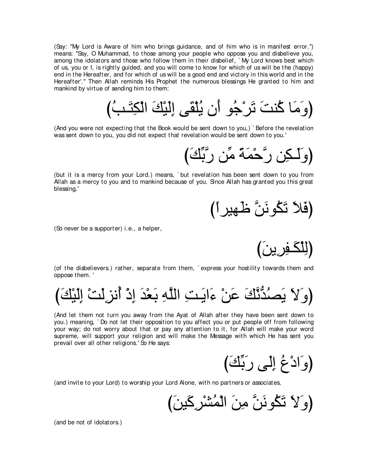(Say: "My Lord is Aware of him who brings guidance, and of him who is in manifest error.'') means: "Say, O Muhammad, to those among your people who oppose you and disbelieve you, among the idolators and those who follow them in their disbelief, ` My Lord knows best which of us, you or I, is rightly guided, and you will come to know for which of us will be the (happy) end in the Hereafter, and for which of us will be a good end and victory in this world and in the Hereafter'.'' Then Allah reminds His Prophet the numerous blessings He granted to him and mankind by virtue of sending him to them:

(وَ مَا كُنتَ تَرْجُو أَن يُلْقَى إِلَيْكَ الْكِتَبُ)

(And you were not expecting that the Book would be sent down to you,) ` Before the revelation was sent down to you, you did not expect that revelation would be sent down to you.'

(وَلَكِن رَّجَّكَ)

(but it is a mercy from your Lord.) means, ` but revelation has been sent down to you from Allah as a mercy to you and to mankind because of you. Since Allah has granted you this great blessing,'

(فَلا تَكُونَنَّ ظهيراً)<br>ا

(So never be a supporter) i.e., a helper,

(لِلْكَفِرِينَ)

(of the disbelievers.) rather, separate from them, ` express your hostility towards them and oppose them. '

び∠マ∇Β∠ャ⌒ま ∇ろ∠ャ⌒ゴル⊥ぺ ∇ク⌒ま ∠ギ∇バ∠よ ⌒ヮzヤャや ⌒ろ⇒∠Αや∠¬ ∇リ∠ハ ∠マzルぁギ⊥ダ∠Α ∠Ι∠ヱぴ

(And let them not turn you away from the Ayat of Allah after they have been sent down to you.) meaning, ` Do not let their opposition to you affect you or put people off from following your way; do not worry about that or pay any attention to it, for Allah will make your word supreme, will support your religion and will make the Message with which He has sent you prevail over all other religions.' So He says:

(وَادْعُ إِلَى رَبِّكَ)

(and invite to your Lord) to worship your Lord Alone, with no partners or associates,

(وَلاَ تَكُونَنَّ مِنَ الْمُشْرِكَينَ)

(and be not of idolators.)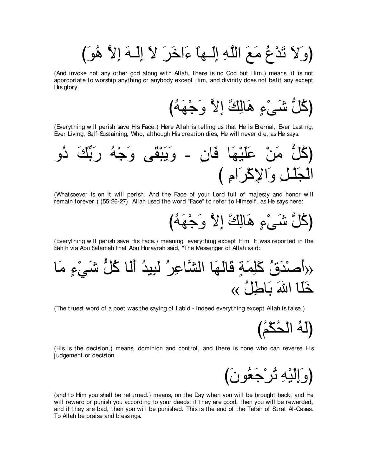(وَلاَ تَدْعُ مَعَ اللَّهِ إِلَــها ءَاخَرَ لاَ إِلَــهَ إِلاَّ هُوَ)

(And invoke not any other god along with Allah, there is no God but Him.) means, it is not appropriate to worship anything or anybody except Him, and divinity does not befit any except His glory.

び⊥ヮ∠ヰ∇ィ∠ヱ zΙ⌒ま ∀マ⌒ャゅ∠ワ ∃¬∇ヴ∠セ ぁモ⊥ミぴ

(Everything will perish save His Face.) Here Allah is telling us that He is Eternal, Ever Lasting, Ever Living, Self-Sustaining, Who, although His creation dies, He will never die, as He says:



(Whatsoever is on it will perish. And the Face of your Lord full of majesty and honor will remain forever.) (55:26-27). Allah used the word "Face'' to refer to Himself, as He says here:

(كُلُّ شَيْءٍ هَالِكٌ إِلاَّ وَجْهَهُ)

(Everything will perish save His Face.) meaning, everything except Him. It was reported in the Sahih via Abu Salamah that Abu Hurayrah said, "The Messenger of Allah said:

ゅ∠ョ ∃¬∇ヶ∠セ ぁモ⊥ミ ゅ∠ャ∠ぺ ⊥ギΒ⌒ら∠ャ ⊥ゲ⌒ハゅzゼャや ゅ∠ヰ∠ャゅ∠ホ ∃る∠ヨ⌒ヤ∠ミ ⊥ベ∠ギ∇タ∠ぺ» « ⊥モ⌒デゅ∠よ ∠ぶや ゅ∠ヤ∠カ

(The truest word of a poet was the saying of Labid - indeed everything except Allah is false.)

(لَهُ الْحُكْمُ)

(His is the decision,) means, dominion and control, and there is none who can reverse His j udgement or decision.

び∠ラヲ⊥バ∠ィ∇ゲ⊥ゎ ⌒ヮ∇Β∠ャ⌒ま∠ヱぴ

(and to Him you shall be returned.) means, on the Day when you will be brought back, and He will reward or punish you according to your deeds: if they are good, then you will be rewarded, and if they are bad, then you will be punished. This is the end of the Tafsir of Surat Al-Qasas. To Allah be praise and blessings.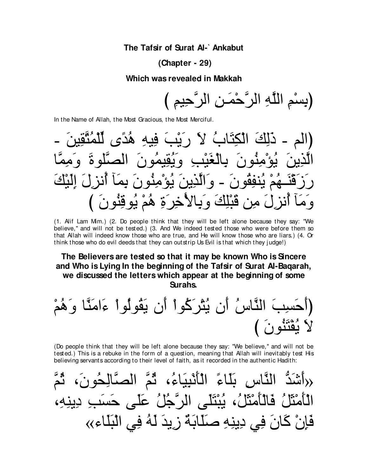#### The Tafsir of Surat AI-`Ankabut

#### (Chapter - 29)

#### Which was revealed in Makkah

(بِسْمِ اللَّهِ الرَّحْمَنِ الرَّحِيمِ )

In the Name of Allah, the Most Gracious, the Most Merciful.

الْكِتَابُ لاَ رِيَنِيَ فِيهِ هُدَّى لِّلْمُثَّقِينَ دلكَ ه نقیمه يَنْفِقُو نَ – وَ الَّذِينَ يُوَ ْمِنُو نَ وَمَأَ أَنْزِلَ مِن قَبْلِكَ وَبِالْأَخِرَةِ هُمْ يُوقِنُونَ ﴾

(1. Alif Lam Mim.) (2. Do people think that they will be left alone because they say: "We believe," and will not be tested.) (3. And We indeed tested those who were before them so that Allah will indeed know those who are true, and He will know those who are liars.) (4. Or think those who do evil deeds that they can out strip Us Evil is that which they judge!)

# The Believers are tested so that it may be known Who is Sincere and Who is Lying In the beginning of the Tafsir of Surat Al-Bagarah, we discussed the letters which appear at the beginning of some **Surahs**

حَسِبَ النَّاسُ أَن يُثْرَكُوا أَن يَقُولُوا ءَامَنَّا وَهُمْ رويَرُ ( َ )

(Do people think that they will be left alone because they say: "We believe," and will not be tested.) This is a rebuke in the form of a question, meaning that Allah will inevitably test His believing servants according to their level of faith, as it recorded in the authentic Hadith:

«(أَشَدُّ النَّاسِ بَلَّاءَ الْأَنْبِيَاءُ، ثُمَّ الْصَّالِحُونَ، الْأَمْثَلُ فَالْأَمْثَلُ، يُبْتَلَى الرَّجُلُ عَلَى حَسَبِ دِينِهِ، فَإِنْ كَانَ فِي دِينِهِ صَلَّابَةٌ زِيدَ لَهُ فِي الْبَلَاءِ››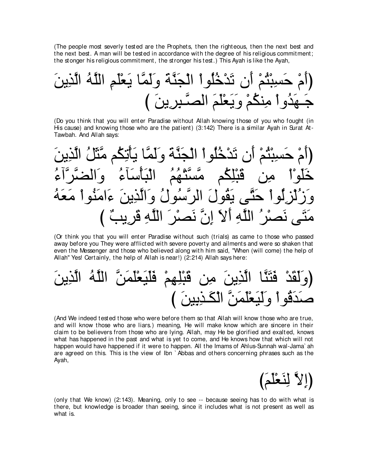(The people most severly tested are the Prophets, then the righteous, then the next best and the next best. A man will be tested in accordance with the degree of his religious commitment; the stonger his religious commitment, the stronger his test.) This Ayah is like the Ayah,

∠リΑ⌒グzャや ⊥ヮzヤャや ⌒ユ∠ヤ∇バ∠Α ゅzヨ∠ャ∠ヱ ∠るzレ∠イ∇ャや ∇やヲ⊥ヤ⊥カ∇ギ∠ゎ ラ∠ぺ ∇ユ⊥わ∇ら⌒ジ∠ェ ∇ュ∠ぺぴ び ∠リΑ⌒ゲ⌒ら⇒zダャや ∠ユ∠ヤ∇バ∠Α∠ヱ ∇ユ⊥ムレ⌒ョ ∇やヱ⊥ギ∠ヰ⇒∠ィ

(Do you think that you will enter Paradise without Allah knowing those of you who fought (in His cause) and knowing those who are the patient) (3:142) There is a similar Ayah in Surat At-Tawbah. And Allah says:



(Or think you that you will enter Paradise without such (trials) as came to those who passed away before you They were afflicted with severe poverty and ailments and were so shaken that even the Messenger and those who believed along with him said, "When (will come) the help of Allah'' Yes! Certainly, the help of Allah is near!) (2:214) Allah says here:

∠リΑ⌒グzャや ⊥ヮzヤャや zリ∠ヨ∠ヤ∇バ∠Β∠ヤ∠プ ∇ユ⌒ヰ⌒ヤ∇ら∠ホ リ⌒ョ ∠リΑ⌒グzャや ゅzレ∠わ∠プ ∇ギ∠ボ∠ャ∠ヱぴ び ∠リΒ⌒よ⌒グ⇒∠ム∇ャや zリ∠ヨ∠ヤ∇バ∠Β∠ャ∠ヱ ∇やヲ⊥ホ∠ギ∠タ

(And We indeed tested those who were before them so that Allah will know those who are true, and will know those who are liars.) meaning, He will make know which are sincere in their claim to be believers from those who are lying. Allah, may He be glorified and exalted, knows what has happened in the past and what is yet to come, and He knows how that which will not happen would have happened if it were to happen. All the Imams of Ahlus-Sunnah wal-Jama` ah are agreed on this. This is the view of Ibn ` Abbas and others concerning phrases such as the Ayah,



(only that We know) (2:143). Meaning, only to see -- because seeing has to do with what is there, but knowledge is broader than seeing, since it includes what is not present as well as what is.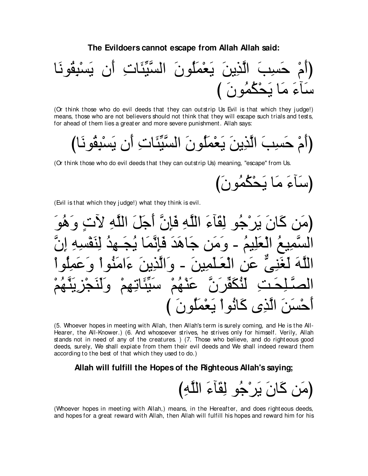#### **The Evildoers cannot escape from Allah Allah said:**



(Or think those who do evil deeds that they can outstrip Us Evil is that which they judge!) means, those who are not believers should not think that they will escape such trials and tests, for ahead of them lies a greater and more severe punishment. Allah says:

びゅ∠ルヲ⊥ボ⌒ら∇ジ∠Α ラ∠ぺ ⌒れゅ∠ゃあΒzジャや ∠ラヲ⊥ヤ∠ヨ∇バ∠Α ∠リΑ⌒グzャや ∠ょ⌒ジ∠ェ ∇ュ∠ぺぴ

(Or think those who do evil deeds that they can outstrip Us) meaning, "escape'' from Us.

(سَأَءَ مَا يَحْكُمُونَ)

(Evil is that which they j udge!) what they think is evil.

∠ヲ⊥ワ∠ヱ ∃れΓ ⌒ヮzヤャや ∠モ∠ィ∠ぺ zラ⌒み∠プ ⌒ヮzヤャや ∠¬べ∠ボ⌒ャ ヲ⊥ィ∇ゲ∠Α ∠ラゅ∠ミ リ∠ョぴ zラ⌒ま ⌒ヮ⌒ジ∇ヘ∠レ⌒ャ ⊥ギ⌒ヰ⇒∠イ⊥Α ゅ∠ヨzル⌒み∠プ ∠ギ∠ワゅ∠ィ リ∠ョ∠ヱ - ⊥ユΒ⌒ヤ∠バ∇ャや ⊥ノΒ⌒ヨzジャや ∇やヲ⊥ヤ⌒ヨ∠ハ∠ヱ ∇やヲ⊥レ∠ョや∠¬ ∠リΑ⌒グzャや∠ヱ - ∠リΒ⌒ヨ∠ヤ⇒∠バ∇ャや ⌒リ∠ハ xヴ⌒レ∠ピ∠ャ ∠ヮzヤャや ∇ユ⊥ヰzレ∠Α⌒ゴ∇イ∠レ∠ャ∠ヱ ∇ユ⌒ヰ⌒ゎゅ∠ゃあΒ∠シ ∇ユ⊥ヰ∇レ∠ハ zラ∠ゲあヘ∠ム⊥レ∠ャ ⌒ろ⇒∠エ⌒ヤ⇒zダャや び ∠ラヲ⊥ヤ∠ヨ∇バ∠Α ∇やヲ⊥ルゅ∠ミ ン⌒グzャや ∠リ∠ジ∇ェ∠ぺ

(5. Whoever hopes in meeting with Allah, then Allah's term is surely coming, and He is the All-Hearer, the All-Knower.) (6. And whosoever strives, he strives only for himself. Verily, Allah stands not in need of any of the creatures. ) (7. Those who believe, and do righteous good deeds, surely, We shall expiate from them their evil deeds and We shall indeed reward them according to the best of that which they used to do.)

#### **Allah will fulfill the Hopes of the Righteous Allah's saying;**



(Whoever hopes in meeting with Allah,) means, in the Hereafter, and does righteous deeds, and hopes for a great reward with Allah, then Allah will fulfill his hopes and reward him for his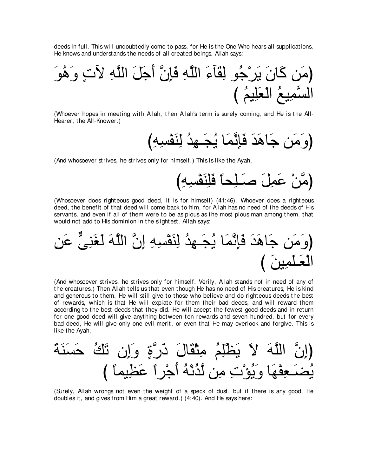deeds in full. This will undoubtedly come to pass, for He is the One Who hears all supplications, He knows and understands the needs of all created beings. Allah says:



(Whoever hopes in meeting with Allah, then Allah's term is surely coming, and He is the All-Hearer, the All-Knower.)

(And whosoever strives, he strives only for himself.) This is like the Ayah,

(Whosoever does righteous good deed, it is for himself) (41:46). Whoever does a righteous deed, the benefit of that deed will come back to him, for Allah has no need of the deeds of His servants, and even if all of them were to be as pious as the most pious man among them, that would not add to His dominion in the slightest. Allah says:

(And whosoever strives, he strives only for himself. Verily, Allah stands not in need of any of the creatures.) Then Allah tells us that even though He has no need of His creatures. He is kind and generous to them. He will still give to those who believe and do righteous deeds the best of rewards, which is that He will expiate for them their bad deeds, and will reward them according to the best deeds that they did. He will accept the fewest good deeds and in return for one good deed will give anything between ten rewards and seven hundred, but for every bad deed, He will give only one evil merit, or even that He may overlook and forgive. This is like the Ayah,

(Surely, Allah wrongs not even the weight of a speck of dust, but if there is any good. He doubles it, and gives from Him a great reward.) (4:40). And He says here: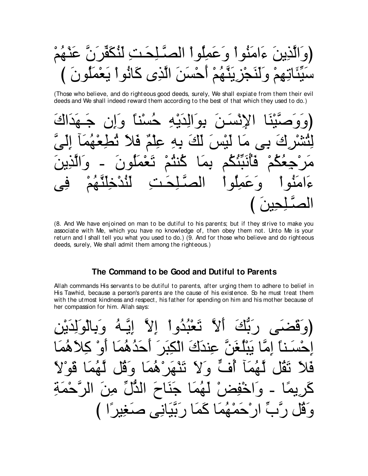نَّذِينَ ءَامَنُو أَ وَ عَمِلُو أَ الْصَّلِحَتِ لَنُكَفِّر تِيهِمْ وَلَنَجْزِ يَتَّهُمْ أَحْسَنَ الَّذِي كَانُو ا يَعْه

(Those who believe, and do righteous good deeds, surely, We shall expiate from them their evil deeds and We shall indeed reward them according to the best of that which they used to do.)



(8. And We have enjoined on man to be dutiful to his parents; but if they strive to make you associate with Me, which you have no knowledge of, then obey them not. Unto Me is your return and I shall tell you what you used to do.) (9. And for those who believe and do righteous deeds, surely, We shall admit them among the righteous.)

## The Command to be Good and Dutiful to Parents

Allah commands His servants to be dutiful to parents, after urging them to adhere to belief in His Tawhid, because a person's parents are the cause of his existence. So he must treat them with the utmost kindness and respect, his father for spending on him and his mother because of her compassion for him. Allah says:

تَعْبُدُواْ إِلاَّ إِيَّـهُ عندك الكد  $\dddot{a}$ احدهم اه تَثْبَرُ ۚ هُمَا و قا  $\mathbf{\nabla}$  a  $\mathbf{a}$  $\overline{a}$  $\bullet$ 80 ا جَنَاحَ الدُّلِّ مِنَ الرَّحْه  $\Delta \rho$ حَمْهُمَا كَمَا رِ بَّيَانِي صَغِير ًا ) و قا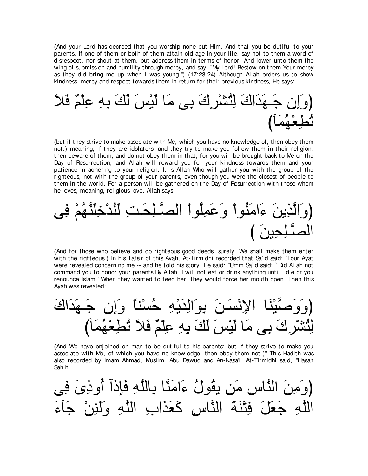(And your Lord has decreed that you worship none but Him. And that you be dutiful to your parents. If one of them or both of them attain old age in your life, say not to them a word of disrespect, nor shout at them, but address them in terms of honor. And lower unto them the wing of submission and humility through mercy, and say: "My Lord! Bestow on them Your mercy as they did bring me up when I was young.'') (17:23-24) Although Allah orders us to show kindness, mercy and respect towards them in return for their previous kindness, He says:



(but if they strive to make associate with Me, which you have no knowledge of, then obey them not.) meaning, if they are idolators, and they try to make you follow them in their religion, then beware of them, and do not obey them in that, for you will be brought back to Me on the Day of Resurrection, and Allah will reward you for your kindness towards them and your patience in adhering to your religion. It is Allah Who will gather you with the group of the righteous, not with the group of your parents, even though you were the closest of people to them in the world. For a person will be gathered on the Day of Resurrection with those whom he loves, meaning, religious love. Allah says:

ヴ⌒プ ∇ユ⊥ヰzレ∠ヤ⌒カ∇ギ⊥レ∠ャ ⌒ろ⇒∠エ⌒ヤ⇒zダャや ∇やヲ⊥ヤ⌒ヨ∠ハ∠ヱ ∇やヲ⊥レ∠ョや∠¬ ∠リΑ⌒グzャや∠ヱぴ び ∠リΒ⌒エ⌒ヤ⇒zダャや

(And for those who believe and do righteous good deeds, surely, We shall make them enter with the righteous.) In his Tafsir of this Ayah, At-Tirmidhi recorded that Sa' d said: "Four Ayat were revealed concerning me -- and he told his story. He said: "Umm Sa` d said: ` Did Allah not command you to honor your parents By Allah, I will not eat or drink anything until I die or you renounce Islam.' When they wanted to feed her, they would force her mouth open. Then this Ayah was revealed:

∠ポや∠ギ∠ヰ⇒∠ィ ラ⌒ま∠ヱ ⇔ゅレ∇ジ⊥ェ ⌒ヮ∇Α∠ギ⌒ャや∠ヲ⌒よ ∠リ⇒∠ジ∇ル⌒Ηや ゅ∠レ∇Βzタ∠ヱ∠ヱぴ びべ∠ヨ⊥ヰ∇バ⌒ト⊥ゎ ∠Κ∠プ ∀ユ∇ヤ⌒ハ ⌒ヮ⌒よ ∠マ∠ャ ∠ザ∇Β∠ャ ゅ∠ョ ヴ⌒よ ∠ポ⌒ゲ∇ゼ⊥わ⌒ャ

(And We have enjoined on man to be dutiful to his parents; but if they strive to make you associate with Me, of which you have no knowledge, then obey them not.)'' This Hadith was also recorded by Imam Ahmad, Muslim, Abu Dawud and An-Nasa'i. At-Tirmidhi said, "Hasan Sahih.

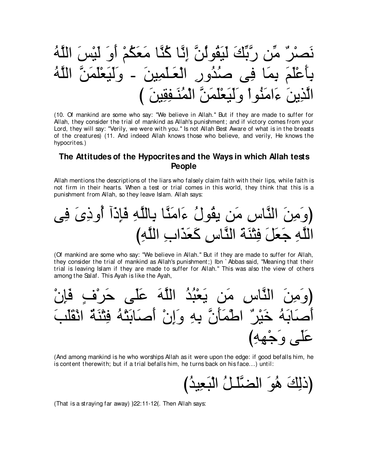(10. Of mankind are some who say: "We believe in Allah." But if they are made to suffer for Allah, they consider the trial of mankind as Allah's punishment; and if victory comes from your Lord, they will say: "Verily, we were with you." Is not Allah Best Aware of what is in the breasts of the creatures) (11. And indeed Allah knows those who believe, and verily, He knows the hypocrites.)

# The Attitudes of the Hypocrites and the Ways in which Allah tests **People**

Allah mentions the descriptions of the liars who falsely claim faith with their lips, while faith is not firm in their hearts. When a test or trial comes in this world, they think that this is a punishment from Allah, so they leave Islam. Allah says:

(Of mankind are some who say: "We believe in Allah." But if they are made to suffer for Allah, they consider the trial of mankind as Allah's punishment;) Ibn `Abbas said, "Meaning that their trial is leaving Islam if they are made to suffer for Allah." This was also the view of others among the Salaf. This Ayah is like the Ayah,

(And among mankind is he who worships Allah as it were upon the edge: if good befalls him, he is content therewith; but if a trial befalls him, he turns back on his face...) until:

(That is a straying far away) ) 22:11-12(. Then Allah says: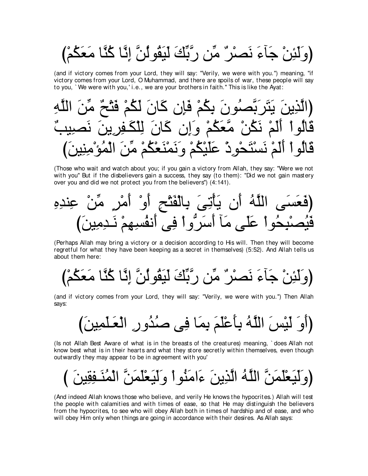ْوَلَئِنْ جَآءَ نَصِرْ ٌ مِّنِ رِّبَّكَ لَيَقُولُنَّ إِنَّا كُنَّا مَعَكُمْ)

(and if victory comes from your Lord, they will say: "Verily, we were with you.") meaning, "if victory comes from your Lord, O Muhammad, and there are spoils of war, these people will say to you, `We were with you,'i.e., we are your brothers in faith." This is like the Ayat:



(Those who wait and watch about you; if you gain a victory from Allah, they say: "Were we not with you" But if the disbelievers gain a success, they say (to them): "Did we not gain mastery over you and did we not protect you from the believers") (4:141).

(Perhaps Allah may bring a victory or a decision according to His will. Then they will become regretful for what they have been keeping as a secret in themselves) (5:52). And Allah tells us about them here:

(and if victory comes from your Lord, they will say: "Verily, we were with you.") Then Allah says:

(Is not Allah Best Aware of what is in the breasts of the creatures) meaning, `does Allah not know best what is in their hearts and what they store secretly within themselves, even though outwardly they may appear to be in agreement with you'

(And indeed Allah knows those who believe, and verily He knows the hypocrites.) Allah will test the people with calamities and with times of ease, so that He may distinguish the believers from the hypocrites, to see who will obey Allah both in times of hardship and of ease, and who will obey Him only when things are going in accordance with their desires. As Allah says: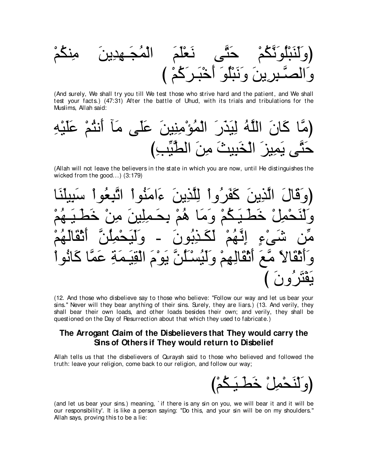(And surely, We shall try you till We test those who strive hard and the patient, and We shall test your facts.) (47:31) After the battle of Uhud, with its trials and tribulations for the Muslims, Allah said:

(Allah will not leave the believers in the state in which you are now, until He distinguishes the wicked from the good...)  $(3:179)$ 



(12. And those who disbelieve say to those who believe: "Follow our way and let us bear your sins." Never will they bear anything of their sins. Surely, they are liars.) (13. And verily, they shall bear their own loads, and other loads besides their own; and verily, they shall be questioned on the Day of Resurrection about that which they used to fabricate.)

## The Arrogant Claim of the Disbelievers that They would carry the Sins of Others if They would return to Disbelief

Allah tells us that the disbelievers of Quraysh said to those who believed and followed the truth: leave your religion, come back to our religion, and follow our way;

(and let us bear your sins.) meaning, `if there is any sin on you, we will bear it and it will be our responsibility'. It is like a person saying: "Do this, and your sin will be on my shoulders." Allah says, proving this to be a lie: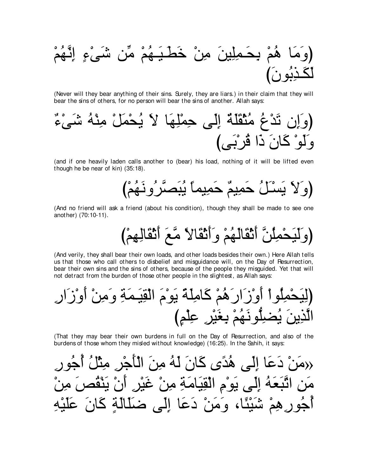(Never will they bear anything of their sins. Surely, they are liars.) in their claim that they will bear the sins of others, for no person will bear the sins of another. Allah says:



(and if one heavily laden calls another to (bear) his load, nothing of it will be lifted even though he be near of kin) (35:18).

(And no friend will ask a friend (about his condition), though they shall be made to see one another) (70:10-11).

(And verily, they shall bear their own loads, and other loads besides their own.) Here Allah tells us that those who call others to disbelief and misquidance will, on the Day of Resurrection, bear their own sins and the sins of others, because of the people they misquided. Yet that will not detract from the burden of those other people in the slightest, as Allah says:

(That they may bear their own burdens in full on the Day of Resurrection, and also of the burdens of those whom they misled without knowledge) (16:25). In the Sahih, it says: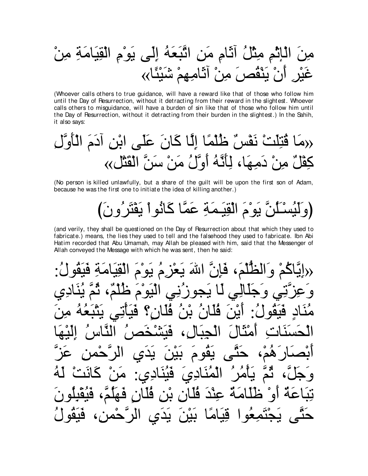منَ الَاِئُمِ مِنُلُ آَنَّامِ مَنِ اتَّنِعَهُ إلىِ يَو۴مِ الَقِبَامَةِ مِنُ
$$
َ
$$

(Whoever calls others to true guidance, will have a reward like that of those who follow him until the Day of Resurrection, without it detracting from their reward in the slightest. Whoever calls others to misguidance, will have a burden of sin like that of those who follow him until the Day of Resurrection, without it detracting from their burden in the slightest.) In the Sahih, it also says:

(No person is killed unlawfully, but a share of the quilt will be upon the first son of Adam, because he was the first one to initiate the idea of killing another.)

نَّ يَوْمَ الْقِيَمَةِ عَمَّا كَانُو أَ يَقْتَرْ و نَ)

(and verily, they shall be questioned on the Day of Resurrection about that which they used to fabricate.) means, the lies they used to tell and the falsehood they used to fabricate. Ibn Abi Hatim recorded that Abu Umamah, may Allah be pleased with him, said that the Messenger of Allah conveyed the Message with which he was sent, then he said:

ِ فَإِنَّ اللهَ يَعْزِمُ يَوْ مَ حو ز نِے ِ النه م  $\bullet$ ىقە ھ  $\mathbf{C}$ قللن عند <u>آ ا</u>  $\mathcal{A}$ يدى <u>فد</u> يبر\* ، جو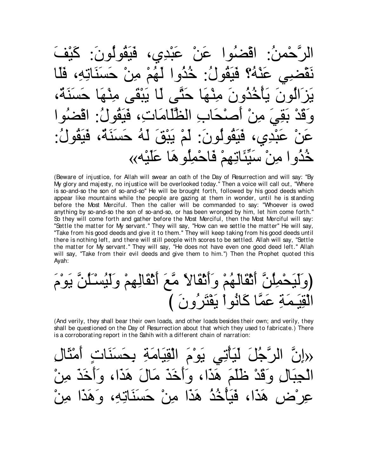اقضُوا عَنْ عَبْدِي، فَبَقُولُ : خُذُوا عَنْهُ؟ لَّهُمْ مِنْ حدّ <u>ىنە</u> أيترال  $\overline{C}$  $\vdots$ ون لة حسنة، لَمَ بِبَقَ قنقه خُذُوا مِنْ سَيِّئَاتِهِمْ فَاحْمِلُو هَا عَلَيْهِ››

(Beware of injustice, for Allah will swear an oath of the Day of Resurrection and will say: "By My glory and majesty, no injustice will be overlooked today." Then a voice will call out, "Where is so-and-so the son of so-and-so" He will be brought forth, followed by his good deeds which appear like mountains while the people are gazing at them in wonder, until he is standing before the Most Merciful. Then the caller will be commanded to say: "Whoever is owed anything by so-and-so the son of so-and-so, or has been wronged by him, let him come forth." So they will come forth and gather before the Most Merciful, then the Most Merciful will say: "Settle the matter for My servant." They will say, "How can we settle the matter" He will say, "Take from his good deeds and give it to them." They will keep taking from his good deeds until there is nothing left, and there will still people with scores to be settled. Allah will say, "Settle the matter for My servant." They will say, "He does not have even one good deed left." Allah will say, "Take from their evil deeds and give them to him.") Then the Prophet quoted this Ayah:

(And verily, they shall bear their own loads, and other loads besides their own; and verily, they shall be questioned on the Day of Resurrection about that which they used to fabricate.) There is a corroborating report in the Sahih with a different chain of narration:

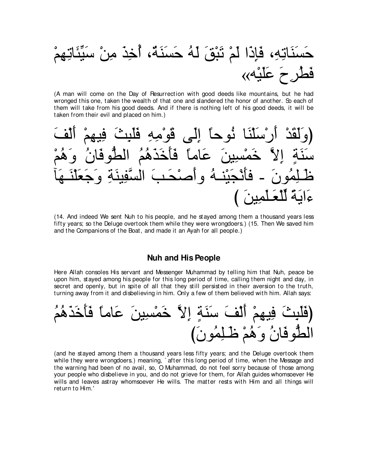

(A man will come on the Day of Resurrection with good deeds like mountains, but he had wronged this one, taken the wealth of that one and slandered the honor of another. So each of them will take from his good deeds. And if there is nothing left of his good deeds, it will be taken from their evil and placed on him.)



(14. And indeed We sent Nuh to his people, and he stayed among them a thousand years less fifty years; so the Deluge overtook them while they were wrongdoers.) (15. Then We saved him and the Companions of the Boat, and made it an Ayah for all people.)

#### **Nuh and His People**

Here Allah consoles His servant and Messenger Muhammad by telling him that Nuh, peace be upon him, stayed among his people for this long period of time, calling them night and day, in secret and openly, but in spite of all that they still persisted in their aversion to the truth, turning away from it and disbelieving in him. Only a few of them believed with him. Allah says:



(and he stayed among them a thousand years less fifty years; and the Deluge overtook them while they were wrongdoers.) meaning, after this long period of time, when the Message and the warning had been of no avail, so, O Muhammad, do not feel sorry because of those among your people who disbelieve in you, and do not grieve for them, for Allah guides whomsoever He wills and leaves astray whomsoever He wills. The matter rests with Him and all things will return to Him.'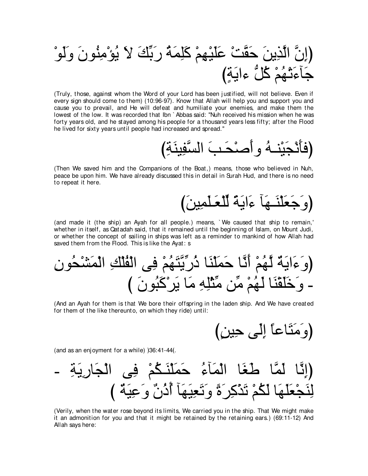(Truly, those, against whom the Word of your Lord has been justified, will not believe. Even if every sign should come to them) (10:96-97). Know that Allah will help you and support you and cause you to prevail, and He will defeat and humiliate your enemies, and make them the lowest of the low. It was recorded that Ibn `Abbas said: "Nuh received his mission when he was forty years old, and he stayed among his people for a thousand years less fifty; after the Flood he lived for sixty years until people had increased and spread."

(Then We saved him and the Companions of the Boat,) means, those who believed in Nuh, peace be upon him. We have already discussed this in detail in Surah Hud, and there is no need to repeat it here.

# (وَجَعَلْنَــهَا ءَايَةً لِلْعَـلْمِينَ)

(and made it (the ship) an Ayah for all people.) means, `We caused that ship to remain,' whether in itself, as Qatadah said, that it remained until the beginning of Islam, on Mount Judi, or whether the concept of sailing in ships was left as a reminder to mankind of how Allah had saved them from the Flood. This is like the Ayat: s

(And an Ayah for them is that We bore their offspring in the laden ship. And We have created for them of the like thereunto, on which they ride) until:

(وَمَثَاعاً إِلَى حِينٍ)

(and as an enjoyment for a while) )36:41-44(.

(Verily, when the water rose beyond its limits, We carried you in the ship. That We might make it an admonition for you and that it might be retained by the retaining ears.) (69:11-12) And Allah says here: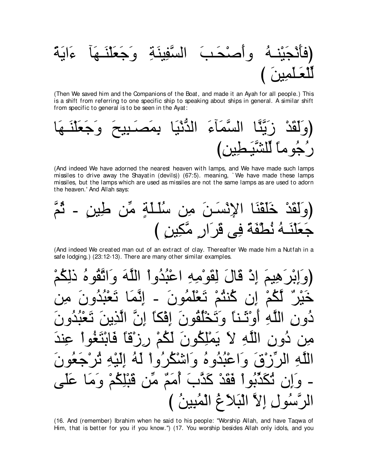(Then We saved him and the Companions of the Boat, and made it an Ayah for all people.) This is a shift from referring to one specific ship to speaking about ships in general. A similar shift from specific to general is to be seen in the Ayat:



(And indeed We have adorned the nearest heaven with lamps, and We have made such lamps missiles to drive away the Shayatin (devils)) (67:5). meaning, `We have made these lamps missiles, but the lamps which are used as missiles are not the same lamps as are used to adorn the heaven.' And Allah says:

(And indeed We created man out of an extract of clay. Thereafter We made him a Nutfah in a safe lodging.) (23:12-13). There are many other similar examples.

لقّو ْم إِنَّ قَالَ اعتدَو أ  $\mathbf{A}$ Ű كنتم  $\Delta$  $\zeta$ ăl فه ۱ ً∠ لکم لە کا ہ ا عبده ه و اش  $\bullet$ كَذَّبَ أُمَمٌ مِّن قَبْلِكُمْ وَمَا <u>مُفْل</u> الْبَلاَغُ الْمُبِينُ )

(16. And (remember) Ibrahim when he said to his people: "Worship Allah, and have Tagwa of Him, that is better for you if you know.") (17. You worship besides Allah only idols, and you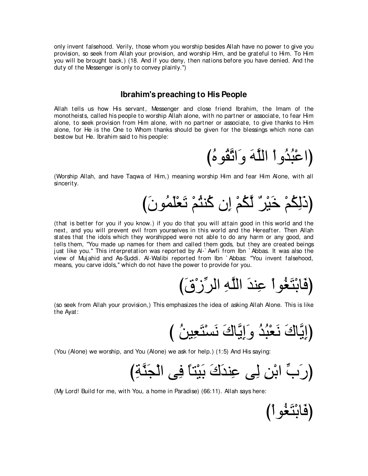only invent falsehood. Verily, those whom you worship besides Allah have no power to give you provision, so seek from Allah your provision, and worship Him, and be grateful to Him. To Him you will be brought back.) (18. And if you deny, then nations before you have denied. And the duty of the Messenger is only to convey plainly.'')

#### **Ibrahim's preaching to His People**

Allah tells us how His servant, Messenger and close friend Ibrahim, the Imam of the monotheists, called his people to worship Allah alone, with no partner or associate, to fear Him alone, to seek provision from Him alone, with no partner or associate, to give thanks to Him alone, for He is the One to Whom thanks should be given for the blessings which none can bestow but He. Ibrahim said to his people:

(اعْبُدُو أ اللَّهَ وَاتَّقُوهُ)

(Worship Allah, and have Taqwa of Him,) meaning worship Him and fear Him Alone, with all sincerity.

(ذَلِكُمْ خَيْرٌ لَكُمْ إِن كُنثُمْ تَعْلَمُونَ)

(that is better for you if you know.) if you do that you will attain good in this world and the next, and you will prevent evil from yourselves in this world and the Hereafter. Then Allah states that the idols which they worshipped were not able to do any harm or any good, and tells them, "You made up names for them and called them gods, but they are created beings just like you." This interpretation was reported by Al-`Awfi from Ibn `Abbas. It was also the view of Muj ahid and As-Suddi. Al-Walibi reported from Ibn ` Abbas: "You invent falsehood, means, you carve idols," which do not have the power to provide for you.

(فَابْتَغُو أُ عِندَ اللَّهِ الرِّزْقَ)

(so seek from Allah your provision,) This emphasizes the idea of asking Allah Alone. This is like the Ayat:

び ⊥リΒ⌒バ∠わ∇ジ∠ル ∠ポゅzΑ⌒ま∠ヱ ⊥ギ⊥ら∇バ∠ル ∠ポゅzΑ⌒まぴ

(You (Alone) we worship, and You (Alone) we ask for help.) (1:5) And His saying:

び⌒るzレ∠イ∇ャや ヴ⌒プ ⇔ゅわ∇Β∠よ ∠ポ∠ギレ⌒ハ ヴ⌒ャ ⌒リ∇よや あゆ∠ケぴ

(My Lord! Build for me, with You, a home in Paradise) (66:11). Allah says here:

(فَابْتَغُو أَ)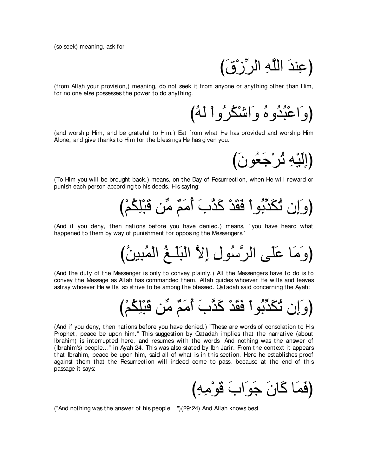(so seek) meaning, ask for

(عِندَ اللَّهِ الرِّزْقَ)

(from Allah your provision,) meaning, do not seek it from anyone or anything other than Him, for no one else possesses the power to do anything.

(وَاعْبُدُوهُ وَاشْكُرُوا لَهُ)

(and worship Him, and be grateful to Him.) Eat from what He has provided and worship Him Alone, and give thanks to Him for the blessings He has given you.

(إِلَيْهِ ثُرْجَعُونَ)

(To Him you will be brought back.) means, on the Day of Resurrection, when He will reward or punish each person according to his deeds. His saying:



(And if you deny, then nations before you have denied.) means, ` you have heard what happened to them by way of punishment for opposing the Messengers.'

(وَمَا عَلَى الرَّسُولِ إِلاَّ الْبَلَــغُ الْمُبِينُ)

(And the duty of the Messenger is only to convey plainly.) All the Messengers have to do is to convey the Message as Allah has commanded them. Allah guides whoever He wills and leaves astray whoever He wills, so strive to be among the blessed. Qatadah said concerning the Ayah:

び∇ユ⊥ム⌒ヤ∇ら∠ホ リあョ ∀ユ∠ョ⊥ぺ ∠ゆzグ∠ミ ∇ギ∠ボ∠プ ∇やヲ⊥よあグ∠ム⊥ゎ ラ⌒ま∠ヱぴ

(And if you deny, then nations before you have denied.) "These are words of consolation to His Prophet, peace be upon him." This suggestion by Qatadah implies that the narrative (about Ibrahim) is interrupted here, and resumes with the words "And nothing was the answer of (Ibrahim's) people...'' in Ayah 24. This was also stated by Ibn Jarir. From the context it appears that Ibrahim, peace be upon him, said all of what is in this section. Here he establishes proof against them that the Resurrection will indeed come to pass, because at the end of this passage it says:

(فَمَا كَانَ جَو<sup>َ</sup>ابَ قَوْمِهِ)

("And nothing was the answer of his people...'')(29:24) And Allah knows best.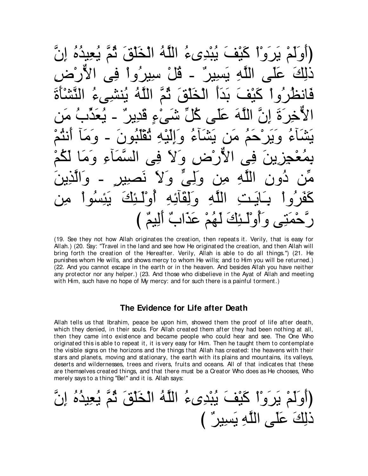ءَ بُبْدِيءُ اللَّهُ الْخَلْقَ و ا <u>آه</u>َا ىس  $\mathbf{a}$  $\mathbf{\dot{p}}$  $\mathbf c$ ۱ ۵  $\bullet$ گ]کی  $\boldsymbol{\mathcal{A}}$ هُمْ عَذَابٌ أَلِيمٌ )

(19. See they not how Allah originates the creation, then repeats it. Verily, that is easy for Allah.) (20. Say: "Travel in the land and see how He originated the creation, and then Allah will bring forth the creation of the Hereafter. Verily, Allah is able to do all things.") (21. He punishes whom He wills, and shows mercy to whom He wills; and to Him you will be returned.) (22. And you cannot escape in the earth or in the heaven. And besides Allah you have neither any protector nor any helper.) (23. And those who disbelieve in the Ayat of Allah and meeting with Him, such have no hope of My mercy: and for such there is a painful torment.)

#### The Evidence for Life after Death

Allah tells us that Ibrahim, peace be upon him, showed them the proof of life after death, which they denied, in their souls. For Allah created them after they had been nothing at all, then they came into existence and became people who could hear and see. The One Who originated this is able to repeat it, it is very easy for Him. Then he taught them to contemplate the visible signs on the horizons and the things that Allah has created: the heavens with their stars and planets, moving and stationary, the earth with its plains and mountains, its valleys, deserts and wildernesses, trees and rivers, fruits and oceans. All of that indicates that these are themselves created things, and that there must be a Creator Who does as He chooses. Who merely says to a thing "Be!" and it is. Allah says:

(أوَلَمُ بَرَوٌُ كَيُفَ بُبُدِىءُ الَلَّهُ الُخَلُقَ تُمَّ يُعِيُدُ مُ إِنَّ
$$
\underline{\hspace{1.5cm}}
$$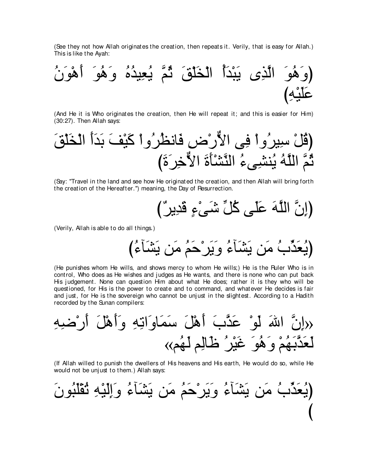(See they not how Allah originates the creation, then repeats it. Verily, that is easy for Allah.) This is like the Ayah:



(And He it is Who originates the creation, then He will repeat it; and this is easier for Him) (30:27). Then Allah says:

∠ペ∇ヤ∠ガ∇ャや ∠ぺ∠ギ∠よ ∠ブ∇Β∠ミ ∇やヱ⊥ゲ⊥ヌルゅ∠プ ⌒チ∇ケxΙや ヴ⌒プ ∇やヱ⊥ゲΒ⌒シ ∇モ⊥ホぴ び∠り∠ゲ⌒カxΙや ∠り∠ほ∇ゼzレャや ⊥¬ヴ⌒ゼレ⊥Α ⊥ヮzヤャや zユ⊥を

(Say: "Travel in the land and see how He originated the creation, and then Allah will bring forth the creation of the Hereafter.'') meaning, the Day of Resurrection.

び∀ゲΑ⌒ギ∠ホ ∃¬∇ヴ∠セ あモ⊥ミ ヴ∠ヤ∠ハ ∠ヮzヤャや zラ⌒まぴ

(Verily, Allah is able to do all things.)

び⊥¬べ∠ゼ∠Α リ∠ョ ⊥ユ∠ェ∇ゲ∠Α∠ヱ ⊥¬べ∠ゼ∠Α リ∠ョ ⊥ゆあグ∠バ⊥Αぴ

(He punishes whom He wills, and shows mercy to whom He wills;) He is the Ruler Who is in control, Who does as He wishes and judges as He wants, and there is none who can put back His judgement. None can question Him about what He does; rather it is they who will be questioned, for His is the power to create and to command, and whatever He decides is fair and just, for He is the sovereign who cannot be unjust in the slightest. According to a Hadith recorded by the Sunan compilers:

⌒ヮ⌒ッ∇ケ∠ぺ ∠モ∇ワ∠ぺ∠ヱ ⌒ヮ⌒ゎや∠ヱゅ∠ヨ∠シ ∠モ∇ワ∠ぺ ∠ゆzグ∠ハ ∇ヲ∠ャ ∠ぶや zラ⌒ま» «ユ⊥ヰ∠ャ ユ⌒ャゅ∠ニ ⊥ゲ∇Β∠ビ ∠ヲ⊥ワ∠ヱ ∇ユ⊥ヰ∠よzグ∠バ∠ャ

(If Allah willed to punish the dwellers of His heavens and His earth, He would do so, while He would not be unj ust to them.) Allah says:

∠ラヲ⊥ら∠ヤ∇ボ⊥ゎ ⌒ヮ∇Β∠ャ⌒ま∠ヱ ⊥¬べ∠ゼ∠Α リ∠ョ ⊥ユ∠ェ∇ゲ∠Α∠ヱ ⊥¬べ∠ゼ∠Α リ∠ョ ⊥ゆあグ∠バ⊥Αぴ び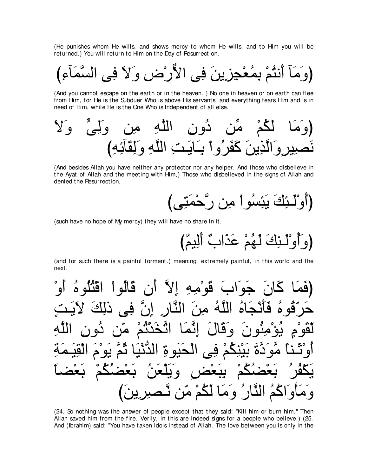(He punishes whom He wills, and shows mercy to whom He wills; and to Him you will be returned.) You will return to Him on the Day of Resurrection.

(And you cannot escape on the earth or in the heaven.) No one in heaven or on earth can flee from Him, for He is the Subduer Who is above His servants, and everything fears Him and is in need of Him, while He is the One Who is Independent of all else.

(And besides Allah you have neither any protector nor any helper. And those who disbelieve in the Ayat of Allah and the meeting with Him,) Those who disbelieved in the signs of Allah and denied the Resurrection,

(such have no hope of My mercy) they will have no share in it,

(and for such there is a painful torment.) meaning, extremely painful, in this world and the next.

(24. So nothing was the answer of people except that they said: "Kill him or burn him." Then Allah saved him from the fire. Verily, in this are indeed signs for a people who believe.) (25. And (Ibrahim) said: "You have taken idols instead of Allah. The love between you is only in the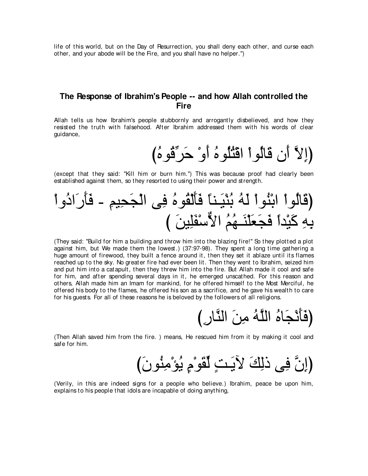life of this world, but on the Day of Resurrection, you shall deny each other, and curse each other, and your abode will be the Fire, and you shall have no helper.'')

## **The Response of Ibrahim's People -- and how Allah controlled the Fire**

Allah tells us how Ibrahim's people stubbornly and arrogantly disbelieved, and how they resisted the truth with falsehood. After Ibrahim addressed them with his words of clear guidance,

(إِلاَّ أَن قَالُواْ اقْثُلُوهُ أَوْ حَرِّقُوهُ)

(except that they said: "Kill him or burn him.'') This was because proof had clearly been established against them, so they resorted to using their power and strength.

∇やヱ⊥キや∠ケ∠ほ∠プ - ⌒ユΒ⌒エ∠イ∇ャや ヴ⌒プ ⊥ロヲ⊥ボ∇ャ∠ほ∠プ ⇔ゅレ⇒∠Β∇レ⊥よ ⊥ヮ∠ャ ∇やヲ⊥レ∇よや ∇やヲ⊥ャゅ∠ホぴ び ∠リΒ⌒ヤ∠ヘ∇シxΙや ⊥ユ⊥ヰ⇒∠レ∇ヤ∠バ∠イ∠プ ⇔やギ∇Β∠ミ ⌒ヮ⌒よ

(They said: "Build for him a building and throw him into the blazing fire!'' So they plotted a plot against him, but We made them the lowest.) (37:97-98). They spent a long time gathering a huge amount of firewood, they built a fence around it, then they set it ablaze until its flames reached up to the sky. No greater fire had ever been lit. Then they went to Ibrahim, seized him and put him into a catapult, then they threw him into the fire. But Allah made it cool and safe for him, and after spending several days in it, he emerged unscathed. For this reason and others, Allah made him an Imam for mankind, for he offered himself to the Most Merciful, he offered his body to the flames, he offered his son as a sacrifice, and he gave his wealth to care for his guests. For all of these reasons he is beloved by the followers of all religions.

(فَأَنْجَاهُ اللَّهُ مِنَ النَّارِ )

(Then Allah saved him from the fire. ) means, He rescued him from it by making it cool and safe for him.

(إِنَّ فِي ذَلِكَ لآيَتٍ لِّقَوْمٍ يُوْمِنُونَ)

(Verily, in this are indeed signs for a people who believe.) Ibrahim, peace be upon him, explains to his people that idols are incapable of doing anything,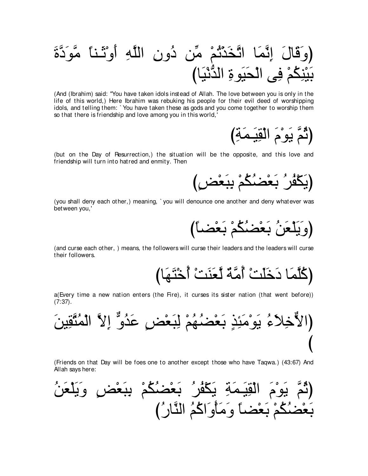(And (Ibrahim) said: "You have taken idols instead of Allah. The love between you is only in the life of this world,) Here Ibrahim was rebuking his people for their evil deed of worshipping idols, and telling them: `You have taken these as gods and you come together to worship them so that there is friendship and love among you in this world,'

(but on the Day of Resurrection,) the situation will be the opposite, and this love and friendship will turn into hatred and enmity. Then

(you shall deny each other.) meaning, `you will denounce one another and deny whatever was between you,'



(and curse each other,) means, the followers will curse their leaders and the leaders will curse their followers.

a(Every time a new nation enters (the Fire), it curses its sister nation (that went before))  $(7:37)$ .



(Friends on that Day will be foes one to another except those who have Tagwa.) (43:67) And Allah says here:

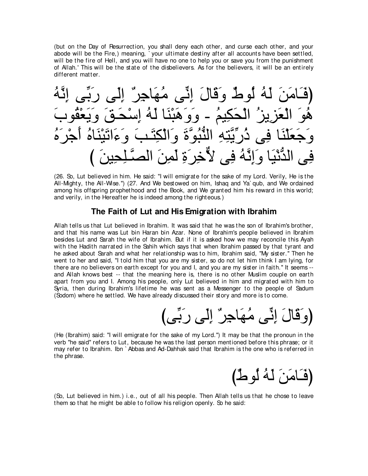(but on the Day of Resurrection, you shall deny each other, and curse each other, and your abode will be the Fire,) meaning, ` your ultimate destiny after all accounts have been settled, will be the fire of Hell, and you will have no one to help you or save you from the punishment of Allah.' This will be the state of the disbelievers. As for the believers, it will be an entirely different matter.

⊥ヮzル⌒ま ヴあよ∠ケ ヴ∠ャ⌒ま ∀ゲ⌒ィゅ∠ヰ⊥ョ ヴあル⌒ま ∠メゅ∠ホ∠ヱ ∀ヅヲ⊥ャ ⊥ヮ∠ャ ∠リ∠ョゅ∠⇒∠プぴ ∠ゆヲ⊥ボ∇バ∠Α∠ヱ ∠ペ⇒∠エ∇シ⌒ま ⊥ヮ∠ャ ゅ∠レ∇ら∠ワ∠ヱ∠ヱ - ⊥ユΒ⌒ム∠エ∇ャや ⊥ゴΑ⌒ゴ∠バ∇ャや ∠ヲ⊥ワ ⊥ロ∠ゲ∇ィ∠ぺ ⊥ロゅ∠レ∇Β∠ゎや∠¬∠ヱ ∠ょ⇒∠わ⌒ム∇ャや∠ヱ ∠りzヲ⊥らぁレャや ⌒ヮ⌒わzΑあケ⊥ク ヴ⌒プ ゅ∠レ∇ヤ∠バ∠ィ∠ヱ び ∠リΒ⌒エ⌒ヤ⇒zダャや ∠リ⌒ヨ∠ャ ⌒り∠ゲ⌒カxΙ ヴ⌒プ ⊥ヮzル⌒ま∠ヱ ゅ∠Β∇ルぁギャや ヴ⌒プ

(26. So, Lut believed in him. He said: "I will emigrate for the sake of my Lord. Verily, He is the All-Mighty, the All-Wise.'') (27. And We bestowed on him, Ishaq and Ya` qub, and We ordained among his offspring prophethood and the Book, and We granted him his reward in this world; and verily, in the Hereafter he is indeed among the righteous.)

## **The Faith of Lut and His Emigration with Ibrahim**

Allah tells us that Lut believed in Ibrahim. It was said that he was the son of Ibrahim's brother, and that his name was Lut bin Haran bin Azar. None of Ibrahim's people believed in Ibrahim besides Lut and Sarah the wife of Ibrahim. But if it is asked how we may reconcile this Ayah with the Hadith narrated in the Sahih which says that when Ibrahim passed by that tyrant and he asked about Sarah and what her relationship was to him, Ibrahim said, "My sister.'' Then he went to her and said, "I told him that you are my sister, so do not let him think I am lying, for there are no believers on earth except for you and I, and you are my sister in faith." It seems -and Allah knows best -- that the meaning here is, there is no other Muslim couple on earth apart from you and I. Among his people, only Lut believed in him and migrated with him to Syria, then during Ibrahim's lifetime he was sent as a Messenger to the people of Sadum (Sodom) where he settled. We have already discussed their story and more is to come.

びヴあよ∠ケ ヴ∠ャ⌒ま ∀ゲ⌒ィゅ∠ヰ⊥ョ ヴあル⌒ま ∠メゅ∠ホ∠ヱぴ

(He (Ibrahim) said: "I will emigrate for the sake of my Lord.'') It may be that the pronoun in the verb "he said'' refers to Lut, because he was the last person mentioned before this phrase; or it may refer to Ibrahim. Ibn ` Abbas and Ad-Dahhak said that Ibrahim is the one who is referred in the phrase.

(فَـَامَنَ لَـهُ لُوطٌ)

(So, Lut believed in him.) i.e., out of all his people. Then Allah tells us that he chose to leave them so that he might be able to follow his religion openly. So he said: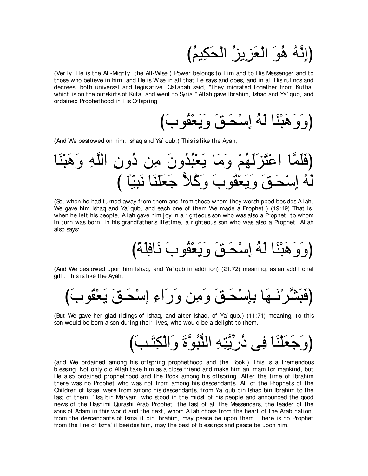(اِنَّهُ هُوَ الْعَزِيزِ ْ الْحَكِيمُ)

(Verily, He is the All-Mighty, the All-Wise.) Power belongs to Him and to His Messenger and to those who believe in him, and He is Wise in all that He says and does, and in all His rulings and decrees, both universal and legislative. Qatadah said, "They migrated together from Kutha, which is on the outskirts of Kufa, and went to Syria.'' Allah gave Ibrahim, Ishaq and Ya` qub, and ordained Prophethood in His Offspring

び∠ゆヲ⊥ボ∇バ∠Α∠ヱ ∠ペ⇒∠エ∇シ⌒ま ⊥ヮ∠ャ ゅ∠レ∇ら∠ワ∠ヱ∠ヱぴ

(And We bestowed on him, Ishaq and Ya` qub,) This is like the Ayah,

ゅ∠レ∇ら∠ワ∠ヱ ⌒ヮzヤャや ⌒ラヱ⊥キ リ⌒ョ ∠ラヱ⊥ギ⊥ら∇バ∠Α ゅ∠ョ∠ヱ ∇ユ⊥ヰ∠ャ∠ゴ∠わ∇ハや ゅzヨ∠ヤ∠プぴ び ⇔ゅ∂Β⌒ら∠ル ゅ∠レ∇ヤ∠バ∠ィ 6Κ⊥ミ∠ヱ ∠ゆヲ⊥ボ∇バ∠Α∠ヱ ∠ペ⇒∠エ∇シ⌒ま ⊥ヮ∠ャ

(So, when he had turned away from them and from those whom they worshipped besides Allah, We gave him Ishaq and Ya` qub, and each one of them We made a Prophet.) (19:49) That is, when he left his people, Allah gave him joy in a righteous son who was also a Prophet, to whom in turn was born, in his grandfather's lifetime, a righteous son who was also a Prophet. Allah also says:

び⇔る∠ヤ⌒プゅ∠ル ∠ゆヲ⊥ボ∇バ∠Α∠ヱ ∠ペ⇒∠エ∇シ⌒ま ⊥ヮ∠ャ ゅ∠レ∇ら∠ワ∠ヱ∠ヱぴ

(And We bestowed upon him Ishaq, and Ya` qub in addition) (21:72) meaning, as an additional gift. This is like the Ayah,

び∠ゆヲ⊥ボ∇バ∠Α ∠ペ⇒∠エ∇シ⌒ま ⌒¬へ∠ケ∠ヱ リ⌒ョ∠ヱ ∠ペ⇒∠エ∇シ⌒み⌒よ ゅ∠ヰ⇒∠ル∇ゲzゼ∠ら∠プぴ

(But We gave her glad tidings of Ishaq, and after Ishaq, of Ya` qub.) (11:71) meaning, to this son would be born a son during their lives, who would be a delight to them.

び∠ょ⇒∠わ⌒ム∇ャや∠ヱ ∠りzヲ⊥らぁレャや ⌒ヮ⌒わzΑあケ⊥ク ヴ⌒プ ゅ∠レ∇ヤ∠バ∠ィ∠ヱぴ

(and We ordained among his offspring prophethood and the Book,) This is a tremendous blessing. Not only did Allah take him as a close friend and make him an Imam for mankind, but He also ordained prophethood and the Book among his offspring. After the time of Ibrahim there was no Prophet who was not from among his descendants. All of the Prophets of the Children of Israel were from among his descendants, from Ya` qub bin Ishaq bin Ibrahim to the last of them, ` Isa bin Maryam, who stood in the midst of his people and announced the good news of the Hashimi Qurashi Arab Prophet, the last of all the Messengers, the leader of the sons of Adam in this world and the next, whom Allah chose from the heart of the Arab nation, from the descendants of Isma` il bin Ibrahim, may peace be upon them. There is no Prophet from the line of Isma` il besides him, may the best of blessings and peace be upon him.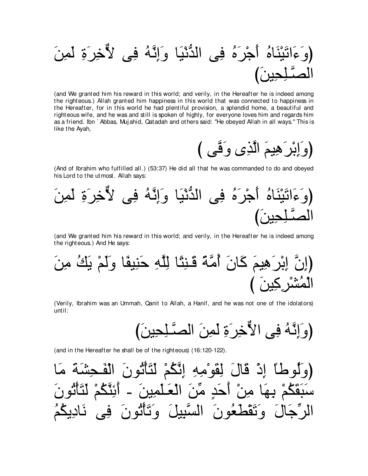(وَءَاتَيُنَاهُ أُجُرَهُ في الأُنَيًا وَاِتَّهُ في لَاّخُرَوَ لَمِنَ
$$
\text{الصَّلِجِينَ)
$$

(and We granted him his reward in this world; and verily, in the Hereafter he is indeed among the righteous.) Allah granted him happiness in this world that was connected to happiness in the Hereafter, for in this world he had plentiful provision, a splendid home, a beautiful and righteous wife, and he was and still is spoken of highly, for everyone loves him and regards him as a friend. Ibn `Abbas, Mujahid, Qatadah and others said: "He obeyed Allah in all ways." This is like the Ayah,



(And of Ibrahim who fulfilled all.) (53:37) He did all that he was commanded to do and obeyed his Lord to the utmost. Allah says:



(and We granted him his reward in this world; and verily, in the Hereafter he is indeed among the righteous.) And He says:

(Verily, Ibrahim was an Ummah, Qanit to Allah, a Hanif, and he was not one of the idolators) until:

(and in the Hereafter he shall be of the righteous) (16:120-122).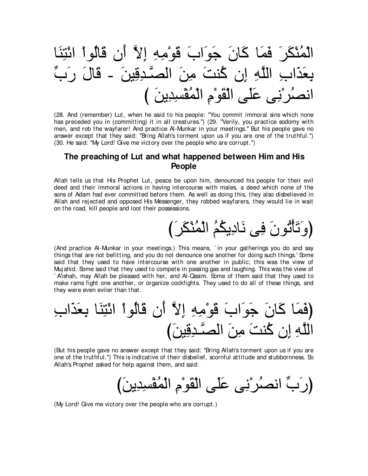ゅ∠レ⌒わ∇もや ∇やヲ⊥ャゅ∠ホ ラ∠ぺ zΙ⌒ま ⌒ヮ⌒ョ∇ヲ∠ホ ∠ゆや∠ヲ∠ィ ∠ラゅ∠ミ ゅ∠ヨ∠プ ∠ゲ∠ム∇レ⊥ヨ∇ャや あゆ∠ケ ∠メゅ∠ホ - ∠リΒ⌒ホ⌒ギ⇒zダャや ∠リ⌒ョ ∠ろレ⊥ミ ラ⌒ま ⌒ヮzヤャや ⌒ゆや∠グ∠バ⌒よ び ∠リΑ⌒ギ⌒ジ∇ヘ⊥ヨ∇ャや ⌒ュ∇ヲ∠ボ∇ャや ヴ∠ヤ∠ハ ヴ⌒ル∇ゲ⊥ダルや

(28. And (remember) Lut, when he said to his people: "You commit immoral sins which none has preceded you in (committing) it in all creatures.'') (29. "Verily, you practice sodomy with men, and rob the wayfarer! And practice Al-Munkar in your meetings.'' But his people gave no answer except that they said: "Bring Allah's torment upon us if you are one of the truthful.'') (30. He said: "My Lord! Give me victory over the people who are corrupt.'')

## **The preaching of Lut and what happened between Him and His People**

Allah tells us that His Prophet Lut, peace be upon him, denounced his people for their evil deed and their immoral actions in having intercourse with males, a deed which none of the sons of Adam had ever committed before them. As well as doing this, they also disbelieved in Allah and rejected and opposed His Messenger, they robbed wayfarers, they would lie in wait on the road, kill people and loot their possessions.

び∠ゲ∠ム∇レ⊥ヨ∇ャや ⊥ユ⊥ムΑ⌒キゅ∠ル ヴ⌒プ ∠ラヲ⊥ゎ∇ほ∠ゎ∠ヱぴ

(And practice Al-Munkar in your meetings.) This means, ` in your gatherings you do and say things that are not befitting, and you do not denounce one another for doing such things.' Some said that they used to have intercourse with one another in public; this was the view of Muj ahid. Some said that they used to compete in passing gas and laughing. This was the view of ` A'ishah, may Allah be pleased with her, and Al-Qasim. Some of them said that they used to make rams fight one another, or organize cockfights. They used to do all of these things, and they were even eviler than that.

⌒ゆや∠グ∠バ⌒よ ゅ∠レ⌒わ∇もや ∇やヲ⊥ャゅ∠ホ ラ∠ぺ zΙ⌒ま ⌒ヮ⌒ョ∇ヲ∠ホ ∠ゆや∠ヲ∠ィ ∠ラゅ∠ミ ゅ∠ヨ∠プぴ び∠リΒ⌒ホ⌒ギ⇒zダャや ∠リ⌒ョ ∠ろレ⊥ミ ラ⌒ま ⌒ヮzヤャや

(But his people gave no answer except that they said: "Bring Allah's torment upon us if you are one of the truthful.'') This is indicative of their disbelief, scornful attitude and stubbornness. So Allah's Prophet asked for help against them, and said:

び∠リΑ⌒ギ⌒ジ∇ヘ⊥ヨ∇ャや ⌒ュ∇ヲ∠ボ∇ャや ヴ∠ヤ∠ハ ヴ⌒ル∇ゲ⊥ダルや あゆ∠ケぴ

(My Lord! Give me victory over the people who are corrupt.)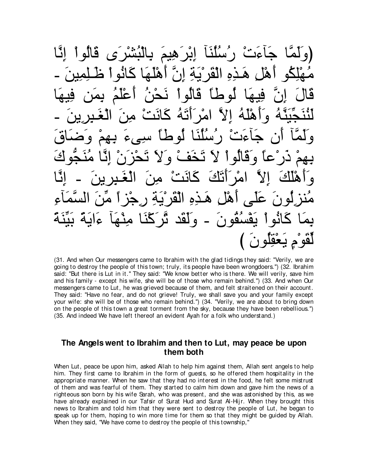جَاءَتْ ر′سُلَنَا إِبْرَهِيمَ بِالنُشْرَى قَ ذه القَرْ يَـةَ إنَّ أَهْلَـهَا كَانُو قَالَ إِنَّ فِيهَا لُوطاً قَالُواْ نَحْنُ أَعْلَمُ بِمَن فِيهَا لَنْنَجِّيَنَّهُ وَأَهْلَهُ إِلاَّ امْرِأَتَهُ كَانَتْ مِنَ الْغَـٰبِرِينَ ـ وَلَمَّا أَن جَاءَتْ رُسُلُنَا لُوطاً سَيىءَ بِـهِمْ وَضَاقَ بِهِمْ ذَرْعاً وَقَالُواْ لاَ تَخَفْ وَلاَ تَحْزَنْ إِنَّا مُنَجَّوكَ وَأَهْلَكَ إلاَّ امْرَأَتَكَ كَانَتْ مِنَ الْغَـٰبِرِينَ ـ إِنَّا مُنزِلُونَ عَلَى أَهْلِ هَـٰذِهِ الْقَرْيَةِ رِجْزٍ أَ مِّنَ السَّمَاءِ يمَا كَانُواْ يَفْسُقُونَ - وَلَقَد ثَرَكْنَا مِنْهَا ءَايَةً بَيِّنَةً لفو م بعقلون

(31. And when Our messengers came to Ibrahim with the glad tidings they said: "Verily, we are going to destroy the people of this town; truly, it s people have been wrongdoers.'') (32. Ibrahim said: "But there is Lut in it.'' They said: "We know better who is there. We will verily, save him and his family - except his wife, she will be of those who remain behind.'') (33. And when Our messengers came to Lut, he was grieved because of them, and felt straitened on their account. They said: "Have no fear, and do not grieve! Truly, we shall save you and your family except your wife: she will be of those who remain behind.'') (34. "Verily, we are about to bring down on the people of this town a great torment from the sky, because they have been rebellious.'') (35. And indeed We have left thereof an evident Ayah for a folk who understand.)

## **The Angels went to Ibrahim and then to Lut, may peace be upon them both**

When Lut, peace be upon him, asked Allah to help him against them, Allah sent angels to help him. They first came to Ibrahim in the form of guests, so he offered them hospitality in the appropriate manner. When he saw that they had no interest in the food, he felt some mistrust of them and was fearful of them. They started to calm him down and gave him the news of a righteous son born by his wife Sarah, who was present, and she was astonished by this, as we have already explained in our Tafsir of Surat Hud and Surat A-Hijr. When they brought this news to Ibrahim and told him that they were sent to destroy the people of Lut, he began to speak up for them, hoping to win more time for them so that they might be guided by Allah. When they said, "We have come to destroy the people of this township,"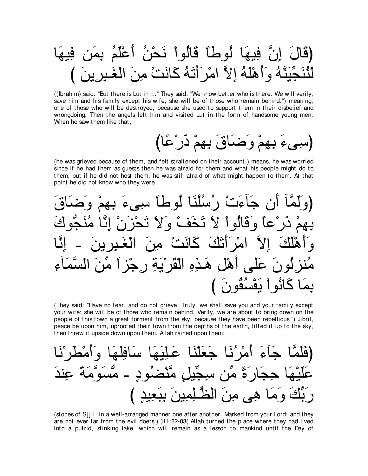((Ibrahim) said: "But there is Lut in it." They said: "We know better who is there. We will verily, save him and his family except his wife, she will be of those who remain behind.") meaning, one of those who will be destroyed, because she used to support them in their disbelief and wrongdoing. Then the angels left him and visited Lut in the form of handsome young men. When he saw them like that,

(he was grieved because of them, and felt straitened on their account.) means, he was worried since if he had them as guests then he was afraid for them and what his people might do to them, but if he did not host them, he was still afraid of what might happen to them. At that point he did not know who they were.

(They said: "Have no fear, and do not grieve! Truly, we shall save you and your family except your wife: she will be of those who remain behind. Verily, we are about to bring down on the people of this town a great torment from the sky, because they have been rebellious.") Jibril, peace be upon him, uprooted their town from the depths of the earth, lifted it up to the sky. then threw it upside down upon them. Allah rained upon them:

(stones of Sijil, in a well-arranged manner one after another. Marked from your Lord; and they are not ever far from the evil doers.) )11:82-83( Allah turned the place where they had lived into a putrid, stinking lake, which will remain as a lesson to mankind until the Day of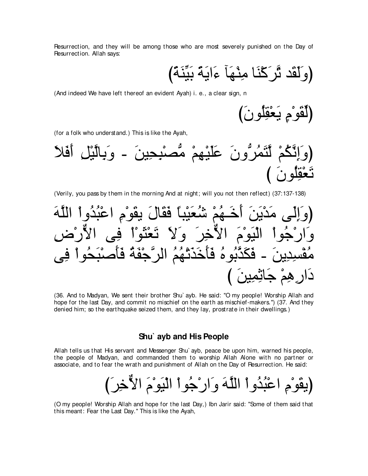Resurrection, and they will be among those who are most severely punished on the Day of Resurrection. Allah says:

(وَلَقَد ثَّرَكْنَا مِنْهَا<sup>ً</sup> ءَايَةً بَيِّنَّةً)

(And indeed We have left thereof an evident Ayah) i. e., a clear sign, n

(ڵُقُو<sup>ْ</sup>مِ يَعْقِلُونَ)

(for a folk who understand.) This is like the Ayah,



(Verily, you pass by them in the morning And at night; will you not then reflect) (37:137-138)

(وَالِّلِ مَدْيَنَ أَخَهُمُ تُنُعَيْبًا قَقَالَ يقَوُم اعُبُدُواُ الَلَّهَ وَارَجُواُ الَلَّهَ
$$
\overline{a}
$$
 وَارَجُواُ الَيَوَمُ الَّاُخِرَ وَلاَ تَعُنَوُاٌ في الأُرُضِ مُقُسِدِينَ – قَكَدَّبُوهُ قَأَحَدَنُهُمُ الرَّجُفَهُ قَأَصَبَحُواٌ في مُقُسِدِينَ – قَكَدَّبُوهُ قَأَحَدَنُهُمُ الرَّجُفَهُ قَأَصَبَحُواٌ في مَاتَّفِينَ )

(36. And to Madyan, We sent their brother Shu` ayb. He said: "O my people! Worship Allah and hope for the last Day, and commit no mischief on the earth as mischief-makers.") (37. And they denied him; so the earthquake seized them, and they lay, prostrate in their dwellings.)

#### **Shu` ayb and His People**

Allah tells us that His servant and Messenger Shu` ayb, peace be upon him, warned his people, the people of Madyan, and commanded them to worship Allah Alone with no partner or associate, and to fear the wrath and punishment of Allah on the Day of Resurrection. He said:

び∠ゲ⌒カxΙや ∠ュ∇ヲ∠Β∇ャや ∇やヲ⊥ィ∇ケや∠ヱ ∠ヮzヤャや ∇やヱ⊥ギ⊥ら∇ハや ⌒ュ∇ヲ∠ボΑぴ

(O my people! Worship Allah and hope for the last Day,) Ibn Jarir said: "Some of them said that this meant: Fear the Last Day.'' This is like the Ayah,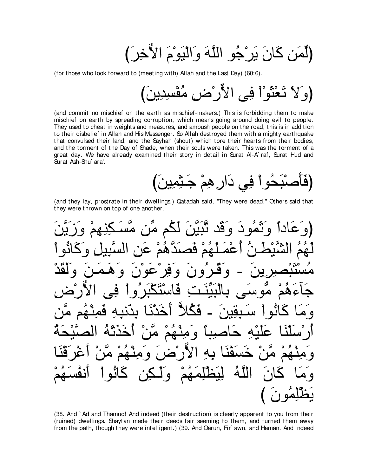(لِّمَن كَانَ يَرْجُو اللَّهَ وَالْيَوْمَ الأَّخِرَ)

(for those who look forward to (meeting with) Allah and the Last Day) (60:6).

(and commit no mischief on the earth as mischief-makers.) This is forbidding them to make mischief on earth by spreading corruption, which means going around doing evil to people. They used to cheat in weights and measures, and ambush people on the road; this is in addition to their disbelief in Allah and His Messenger. So Allah destroyed them with a mighty earthquake that convulsed their land, and the Sayhah (shout) which tore their hearts from their bodies, and the torment of the Day of Shade, when their souls were taken. This was the torment of a great day. We have already examined their story in detail in Surat Al-A`raf, Surat Hud and Surat Ash-Shu' ara'.

(and they lay, prostrate in their dwellings.) Qatadah said, "They were dead." Others said that they were thrown on top of one another.

وَنَّفُودَ وَقَدْ تَّنَبِّنَ لَّكُمْ مِّن مَّسْ <u>مہ</u> Q. يىنىت قا A <u>۹۹</u>  $\bullet$ الله

(38. And `Ad and Thamud! And indeed (their destruction) is clearly apparent to you from their (ruined) dwellings. Shaytan made their deeds fair seeming to them, and turned them away from the path, though they were intelligent.) (39. And Qarun, Fir' awn, and Haman. And indeed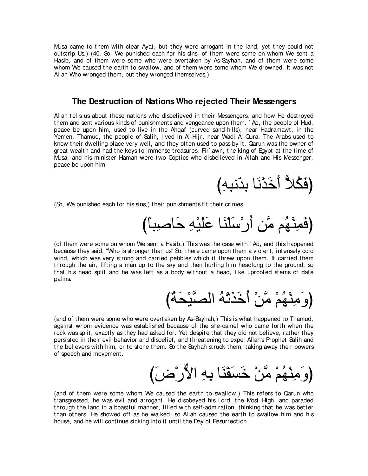Musa came to them with clear Ayat, but they were arrogant in the land, yet they could not outstrip Us.) (40. So, We punished each for his sins, of them were some on whom We sent a Hasib, and of them were some who were overtaken by As-Sayhah, and of them were some whom We caused the earth to swallow, and of them were some whom We drowned. It was not Allah Who wronged them, but they wronged themselves.)

#### **The Destruction of Nations Who rejected Their Messengers**

Allah tells us about these nations who disbelieved in their Messengers, and how He destroyed them and sent various kinds of punishments and vengeance upon them. ` Ad, the people of Hud, peace be upon him, used to live in the Ahqaf (curved sand-hills), near Hadramawt, in the Yemen. Thamud, the people of Salih, lived in Al-Hijr, near Wadi Al-Qura. The Arabs used to know their dwelling place very well, and they often used to pass by it. Qarun was the owner of great wealth and had the keys to immense treasures. Fir` awn, the king of Egypt at the time of Musa, and his minister Haman were two Coptics who disbelieved in Allah and His Messenger, peace be upon him.

(فَكُلاً أَخَدْنَا بِدَنبِهِ)

(So, We punished each for his sins,) their punishments fit their crimes.

び⇔ゅら⌒タゅ∠ェ ⌒ヮ∇Β∠ヤ∠ハ ゅ∠レ∇ヤ∠シ∇ケ∠ぺ リzョ ユ⊥ヰ∇レ⌒ヨ∠プぴ

(of them were some on whom We sent a Hasib,) This was the case with ` Ad, and this happened because they said: "Who is stronger than us'' So, there came upon them a violent, intensely cold wind, which was very strong and carried pebbles which it threw upon them. It carried them through the air, lifting a man up to the sky and then hurling him headlong to the ground, so that his head split and he was left as a body without a head, like uprooted stems of date palms.

び⊥る∠エ∇Βzダャや ⊥ヮ∇ゎ∠グ∠カ∠ぺ ∇リzョ ∇ユ⊥ヰ∇レ⌒ョ∠ヱぴ

(and of them were some who were overtaken by As-Sayhah,) This is what happened to Thamud, against whom evidence was established because of the she-camel who came forth when the rock was split, exactly as they had asked for. Yet despite that they did not believe, rather they persisted in their evil behavior and disbelief, and threatening to expel Allah's Prophet Salih and the believers with him, or to stone them. So the Sayhah struck them, taking away their powers of speech and movement.

び∠チ∇ケxΙや ⌒ヮ⌒よ ゅ∠レ∇ヘ∠ジ∠カ ∇リzョ ∇ユ⊥ヰ∇レ⌒ョ∠ヱぴ

(and of them were some whom We caused the earth to swallow,) This refers to Qarun who transgressed, he was evil and arrogant. He disobeyed his Lord, the Most High, and paraded through the land in a boastful manner, filled with self-admiration, thinking that he was better than others. He showed off as he walked, so Allah caused the earth to swallow him and his house, and he will continue sinking into it until the Day of Resurrection.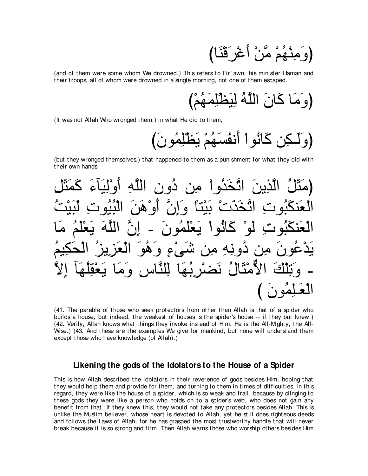(and of them were some whom We drowned.) This refers to Fir`awn, his minister Haman and their troops, all of whom were drowned in a single morning, not one of them escaped.

(It was not Allah Who wronged them,) in what He did to them,

(but they wronged themselves.) that happened to them as a punishment for what they did with their own hands.

(مَتَلُ الَذِينَ اتَّخَدُوا مِن دُون الَلَّهِ أُوُلِيَاَءَ كَمَتَلُ
$$
|نَدَنَّ وَزِنَ الَّلَهِ أَوُلِيَّاءَ كَمَتَلَ وَنَّا وَرَنَ الَلَّهِ وَلَّوَتَّا وَلِنَّا وَرَنَ وَنَهَ وَنَّا وَلَّهَيَوَتَ وَلَّهَ وَنَّا وَنَّا تَعَنَهُرَ مَا وَنَّهَ وَنَّهُوَ تَالَّهَ وَنَهُوَ تَالَعَزَينَ أَوَعُهَوَ وَنَّا وَنَّهَ وَنَهُوَ تَالَعَوَنَ وَنَّهَ وَنَهُوَ تَالَعَهَ وَنَهُوَ تَوَلَهَاَ وَرَّا لَعَوَلَهَا وَرَّا لَعَوَلَهَا وَلَّا تَعَوَلَهَا وَلَّهَ وَنَّهَ وَنَّهَ وَنَهَ وَنَّهَ وَنَّهَ وَنَّهَ وَنَّهَ وَنَّهَ وَنَّهَ وَنَّهَ وَنَّهَ وَنَّهَ وَنَّهَ وَنَّهَ
$$

(41. The parable of those who seek protectors from other than Allah is that of a spider who builds a house; but indeed, the weakest of houses is the spider's house -- if they but knew.) (42. Verily, Allah knows what things they invoke instead of Him. He is the All-Mighty, the All-Wise.) (43. And these are the examples We give for mankind; but none will understand them except those who have knowledge (of Allah).)

#### Likening the gods of the Idolators to the House of a Spider

This is how Allah described the idolators in their reverence of gods besides Him, hoping that they would help them and provide for them, and turning to them in times of difficulties. In this regard, they were like the house of a spider, which is so weak and frail, because by clinging to these gods they were like a person who holds on to a spider's web, who does not gain any benefit from that. If they knew this, they would not take any protectors besides Allah. This is unlike the Muslim believer, whose heart is devoted to Allah, vet he still does righteous deeds and follows the Laws of Allah, for he has grasped the most trustworthy handle that will never break because it is so strong and firm. Then Allah warns those who worship others besides Him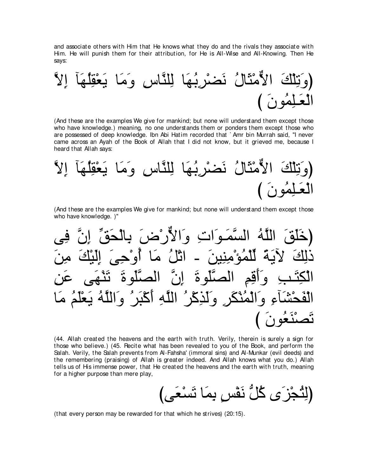and associate others with Him that He knows what they do and the rivals they associate with Him. He will punish them for their attribution, for He is All-Wise and All-Knowing. Then He says:

zΙ⌒ま べ∠ヰ⊥ヤ⌒ボ∇バ∠Α ゅ∠ョ∠ヱ ⌒サゅzレヤ⌒ャ ゅ∠ヰ⊥よ⌒ゲ∇ツ∠ル ⊥メゅ∠ん∇ョxΙや ∠マ∇ヤ⌒ゎ∠ヱぴ び ∠ラヲ⊥ヨ⌒ヤ⇒∠バ∇ャや

(And these are the examples We give for mankind; but none will understand them except those who have knowledge.) meaning, no one understands them or ponders them except those who are possessed of deep knowledge. Ibn Abi Hatim recorded that ` Amr bin Murrah said, "I never came across an Ayah of the Book of Allah that I did not know, but it grieved me, because I heard that Allah says:

zΙ⌒ま べ∠ヰ⊥ヤ⌒ボ∇バ∠Α ゅ∠ョ∠ヱ ⌒サゅzレヤ⌒ャ ゅ∠ヰ⊥よ⌒ゲ∇ツ∠ル ⊥メゅ∠ん∇ョxΙや ∠マ∇ヤ⌒ゎ∠ヱぴ び ∠ラヲ⊥ヨ⌒ヤ⇒∠バ∇ャや

(And these are the examples We give for mankind; but none will understand them except those who have knowledge. )''

ヴ⌒プ zラ⌒ま あペ∠エ∇ャゅ⌒よ ∠チ∇ケxΙや∠ヱ ⌒れや∠ヲ⇒∠ヨzジャや ⊥ヮzヤャや ∠ペ∠ヤ∠カぴ ∠リ⌒ョ ∠マ∇Β∠ャ⌒ま ∠ヴ⌒ェ∇ヱ⊥ぺ ゅ∠ョ ⊥モ∇ゎや - ∠リΒ⌒レ⌒ョ∇ぽ⊥ヨ∇ヤあャ ⇔る∠ΑΓ ∠マ⌒ャク ⌒リ∠ハ ヴ∠ヰ∇レ∠ゎ ∠りヲ∠ヤzダャや zラ⌒ま ∠りヲ∠ヤzダャや ⌒ユ⌒ホ∠ぺ∠ヱ ⌒ょ⇒∠わ⌒ム∇ャや ゅ∠ョ ⊥ユ∠ヤ∇バ∠Α ⊥ヮzヤャや∠ヱ ⊥ゲ∠ら∇ミ∠ぺ ⌒ヮzヤャや ⊥ゲ∇ミ⌒グ∠ャ∠ヱ ⌒ゲ∠ム∇レ⊥ヨ∇ャや∠ヱ ⌒¬べ∠ゼ∇エ∠ヘ∇ャや び ∠ラヲ⊥バ∠レ∇ダ∠ゎ

(44. Allah created the heavens and the earth with truth. Verily, therein is surely a sign for those who believe.) (45. Recite what has been revealed to you of the Book, and perform the Salah. Verily, the Salah prevents from Al-Fahsha' (immoral sins) and Al-Munkar (evil deeds) and the remembering (praising) of Allah is greater indeed. And Allah knows what you do.) Allah tells us of His immense power, that He created the heavens and the earth with truth, meaning for a higher purpose than mere play,

びヴ∠バ∇ジ∠ゎ ゅ∠ヨ⌒よ ∃ザ∇ヘ∠ル ぁモ⊥ミ ン∠ゴ∇イ⊥わ⌒ャぴ

(that every person may be rewarded for that which he strives) (20:15).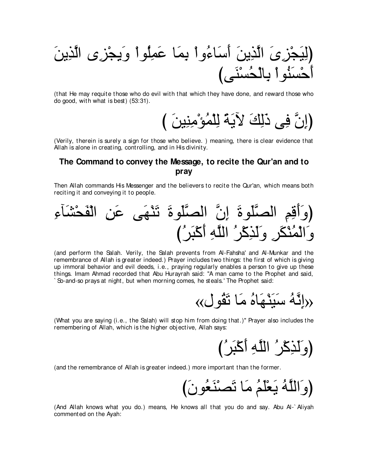∠リΑ⌒グzャや ン⌒ゴ∇イ⌒Α∠ヱ ∇やヲ⊥ヤ⌒ヨ∠ハ ゅ∠ヨ⌒よ ∇やヱ⊥¬ゅ∠シ∠ぺ ∠リΑ⌒グzャや ∠ン⌒ゴ∇イ∠Β⌒ャぴ びヴ∠レ∇ジ⊥エ∇ャゅ⌒よ ∇やヲ⊥レ∠ジ∇ェ∠ぺ

(that He may requite those who do evil with that which they have done, and reward those who do good, with what is best) (53:31).

び ∠リΒ⌒レ⌒ョ∇ぽ⊥ヨ∇ヤ⌒ャ ⇔る∠ΑΓ ∠マ⌒ャ∠ク ヴ⌒プ zラ⌒まぴ

(Verily, therein is surely a sign for those who believe. ) meaning, there is clear evidence that Allah is alone in creating, controlling, and in His divinity.

## **The Command to convey the Message, to recite the Qur'an and to pray**

Then Allah commands His Messenger and the believers to recite the Qur'an, which means both reciting it and conveying it to people.

⌒¬べ∠ゼ∇エ∠ヘ∇ャや ⌒リ∠ハ ヴ∠ヰ∇レ∠ゎ ∠りヲ∠ヤzダャや zラ⌒ま ∠りヲ∠ヤzダャや ⌒ユ⌒ホ∠ぺ∠ヱぴ び⊥ゲ∠ら∇ミ∠ぺ ⌒ヮzヤャや ⊥ゲ∇ミ⌒グ∠ャ∠ヱ ⌒ゲ∠ム∇レ⊥ヨ∇ャや∠ヱ

(and perform the Salah. Verily, the Salah prevents from Al-Fahsha' and Al-Munkar and the remembrance of Allah is greater indeed.) Prayer includes two things: the first of which is giving up immoral behavior and evil deeds, i.e., praying regularly enables a person to give up these things. Imam Ahmad recorded that Abu Hurayrah said: "A man came to the Prophet and said, ` So-and-so prays at night, but when morning comes, he steals.' The Prophet said:

$$
\langle \langle \downarrow \stackrel{?}{\leq} \downarrow \stackrel{?}{\leq} \delta
$$

(What you are saying (i.e., the Salah) will stop him from doing that.)'' Prayer also includes the remembering of Allah, which is the higher obj ective, Allah says:

(وَ لَنَـٰكُرُ اللَّهِ أَكْبَرُ *)* 

(and the remembrance of Allah is greater indeed.) more important than the former.

び∠ラヲ⊥バ∠レ∇ダ∠ゎ ゅ∠ョ ⊥ユ∠ヤ∇バ∠Α ⊥ヮzヤャや∠ヱぴ

(And Allah knows what you do.) means, He knows all that you do and say. Abu Al-` Aliyah commented on the Ayah: